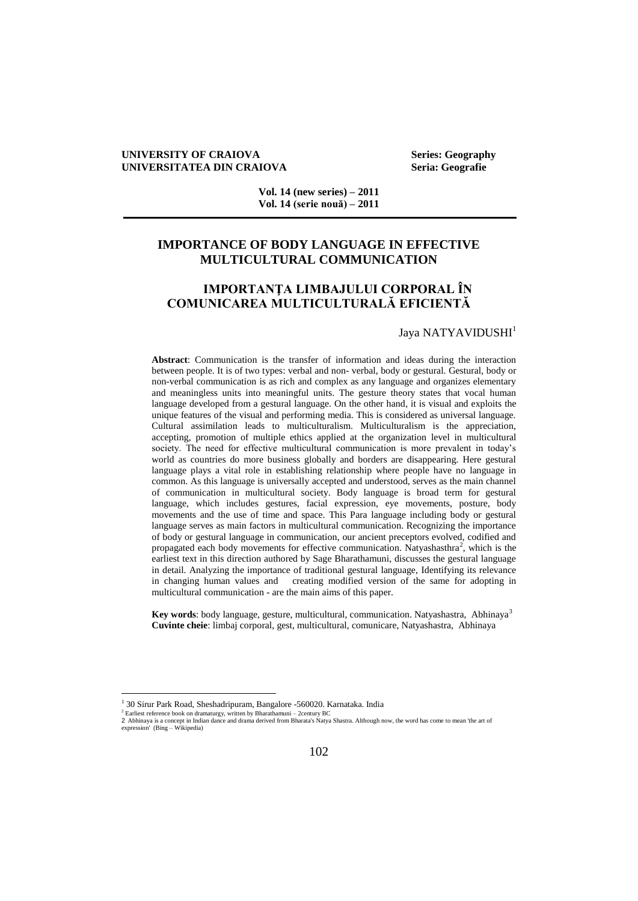### **UNIVERSITY OF CRAIOVA Series: Geography UNIVERSITATEA DIN CRAIOVA Seria: Geografie**

**Vol. 14 (new series) – 2011 Vol. 14 (serie nouă) – 2011**

## **IMPORTANCE OF BODY LANGUAGE IN EFFECTIVE MULTICULTURAL COMMUNICATION**

# **IMPORTANŢA LIMBAJULUI CORPORAL ÎN COMUNICAREA MULTICULTURALĂ EFICIENTĂ**

### Jaya NATYAVIDUSHI<sup>1</sup>

**Abstract**: Communication is the transfer of information and ideas during the interaction between people. It is of two types: verbal and non- verbal, body or gestural. Gestural, body or non-verbal communication is as rich and complex as any language and organizes elementary and meaningless units into meaningful units. The gesture theory states that vocal human language developed from a gestural language. On the other hand, it is visual and exploits the unique features of the visual and performing media. This is considered as universal language. Cultural assimilation leads to multiculturalism. Multiculturalism is the appreciation, accepting, promotion of multiple ethics applied at the organization level in multicultural society. The need for effective multicultural communication is more prevalent in today's world as countries do more business globally and borders are disappearing. Here gestural language plays a vital role in establishing relationship where people have no language in common. As this language is universally accepted and understood, serves as the main channel of communication in multicultural society. Body language is broad term for gestural language, which includes gestures, facial expression, eye movements, posture, body movements and the use of time and space. This Para language including body or gestural language serves as main factors in multicultural communication. Recognizing the importance of body or gestural language in communication, our ancient preceptors evolved, codified and propagated each body movements for effective communication. Natyashasthra<sup>2</sup>, which is the earliest text in this direction authored by Sage Bharathamuni, discusses the gestural language in detail. Analyzing the importance of traditional gestural language, Identifying its relevance in changing human values and creating modified version of the same for adopting in multicultural communication - are the main aims of this paper.

Key words: body language, gesture, multicultural, communication. Natyashastra, Abhinaya<sup>3</sup> **Cuvinte cheie**: limbaj corporal, gest, multicultural, comunicare, Natyashastra, Abhinaya

<sup>&</sup>lt;sup>1</sup> 30 Sirur Park Road, Sheshadripuram, Bangalore -560020. Karnataka. India

<sup>&</sup>lt;sup>2</sup> Earliest reference book on dramaturgy, written by Bharathamuni – 2century BC<br>2 Abhinaya is a concept in Indian dance and drama derived from Bharata's Natya Shastra. Although now, the word has come to mean 'the art of<br>e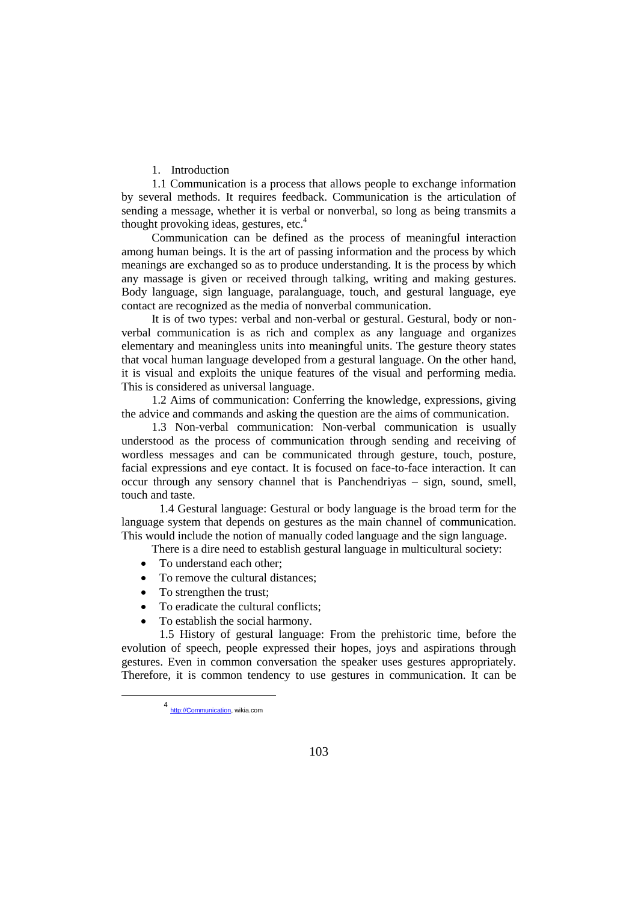### 1. Introduction

1.1 Communication is a process that allows people to exchange information by several methods. It requires feedback. Communication is the articulation of sending a message, whether it is verbal or nonverbal, so long as being transmits a thought provoking ideas, gestures, etc.<sup>4</sup>

Communication can be defined as the process of meaningful interaction among human beings. It is the art of passing information and the process by which meanings are exchanged so as to produce understanding. It is the process by which any massage is given or received through talking, writing and making gestures. Body language, sign language, paralanguage, touch, and gestural language, eye contact are recognized as the media of nonverbal communication.

It is of two types: verbal and non-verbal or gestural. Gestural, body or nonverbal communication is as rich and complex as any language and organizes elementary and meaningless units into meaningful units. The gesture theory states that vocal human language developed from a gestural language. On the other hand, it is visual and exploits the unique features of the visual and performing media. This is considered as universal language.

1.2 Aims of communication: Conferring the knowledge, expressions, giving the advice and commands and asking the question are the aims of communication.

1.3 Non-verbal communication: Non-verbal communication is usually understood as the process of communication through sending and receiving of wordless messages and can be communicated through gesture, touch, posture, facial expressions and eye contact. It is focused on face-to-face interaction. It can occur through any sensory channel that is Panchendriyas – sign, sound, smell, touch and taste.

1.4 Gestural language: Gestural or body language is the broad term for the language system that depends on gestures as the main channel of communication. This would include the notion of manually coded language and the sign language.

There is a dire need to establish gestural language in multicultural society:

- To understand each other;
- To remove the cultural distances;
- To strengthen the trust;
- To eradicate the cultural conflicts;
- To establish the social harmony.

1.5 History of gestural language: From the prehistoric time, before the evolution of speech, people expressed their hopes, joys and aspirations through gestures. Even in common conversation the speaker uses gestures appropriately. Therefore, it is common tendency to use gestures in communication. It can be

<sup>4&</sup>lt;br>[http://Communication,](http://communication/) wikia.com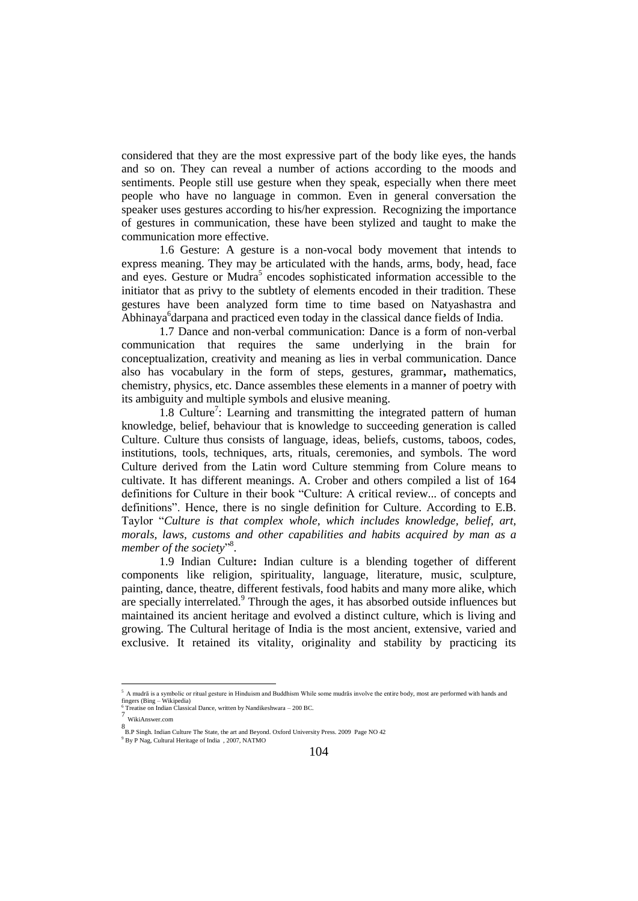considered that they are the most expressive part of the body like eyes, the hands and so on. They can reveal a number of actions according to the moods and sentiments. People still use gesture when they speak, especially when there meet people who have no language in common. Even in general conversation the speaker uses gestures according to his/her expression. Recognizing the importance of gestures in communication, these have been stylized and taught to make the communication more effective.

1.6 Gesture: A gesture is a non-vocal body movement that intends to express meaning. They may be articulated with the hands, arms, body, head, face and eyes. Gesture or Mudra<sup>5</sup> encodes sophisticated information accessible to the initiator that as privy to the subtlety of elements encoded in their tradition. These gestures have been analyzed form time to time based on Natyashastra and Abhinaya<sup>6</sup> darpana and practiced even today in the classical dance fields of India.

1.7 Dance and non-verbal communication: Dance is a form of non-verbal communication that requires the same underlying in the brain for conceptualization, creativity and meaning as lies in verbal communication. Dance also has vocabulary in the form of steps, gestures, grammar**,** mathematics, chemistry, physics, etc. Dance assembles these elements in a manner of poetry with its ambiguity and multiple symbols and elusive meaning.

1.8 Culture<sup>7</sup>: Learning and transmitting the integrated pattern of human knowledge, belief, behaviour that is knowledge to succeeding generation is called Culture. Culture thus consists of language, ideas, beliefs, customs, taboos, codes, institutions, tools, techniques, arts, rituals, ceremonies, and symbols. The word Culture derived from the Latin word Culture stemming from Colure means to cultivate. It has different meanings. A. Crober and others compiled a list of 164 definitions for Culture in their book "Culture: A critical review... of concepts and definitions". Hence, there is no single definition for Culture. According to E.B. Taylor "*Culture is that complex whole, which includes knowledge, belief, art, morals, laws, customs and other capabilities and habits acquired by man as a*  member of the society"<sup>8</sup>.

1.9 Indian Culture**:** Indian culture is a blending together of different components like religion, spirituality, language, literature, music, sculpture, painting, dance, theatre, different festivals, food habits and many more alike, which are specially interrelated.<sup>9</sup> Through the ages, it has absorbed outside influences but maintained its ancient heritage and evolved a distinct culture, which is living and growing. The Cultural heritage of India is the most ancient, extensive, varied and exclusive. It retained its vitality, originality and stability by practicing its

<sup>&</sup>lt;sup>5</sup> A mudrā is a symbolic or ritual gesture in Hinduism and Buddhism While some mudrās involve the entire body, most are performed with hands and fingers (Bing – Wikipedia)

<sup>&</sup>lt;sup>6</sup> Treatise on Indian Classical Dance, written by Nandikeshwara – 200 BC.<br>7

WikiAnswer.com

<sup>8</sup> B.P Singh. Indian Culture The State, the art and Beyond. Oxford University Press. 2009 Page NO 42

<sup>9</sup> By P Nag, Cultural Heritage of India , 2007, NATMO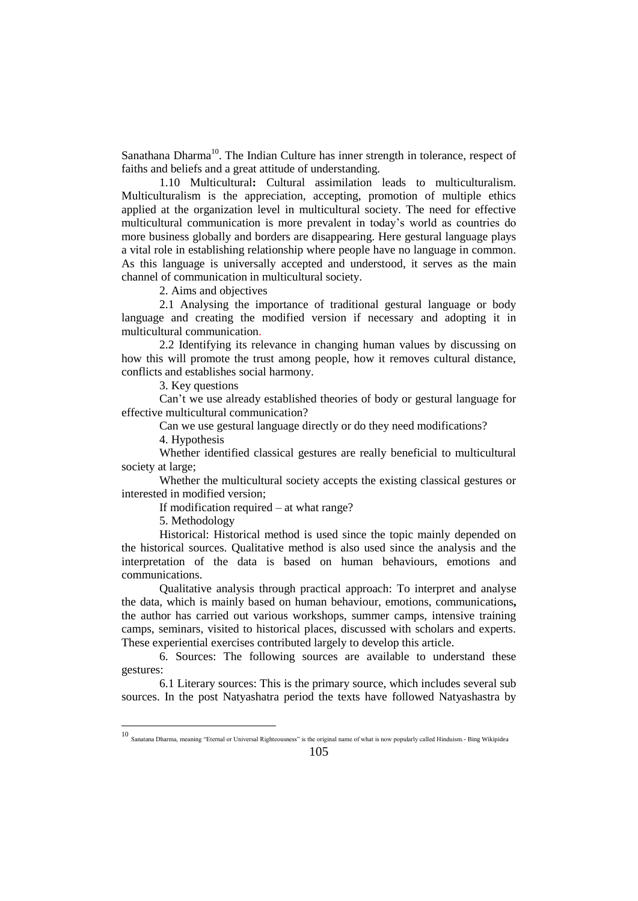Sanathana Dharma<sup>10</sup>. The Indian Culture has inner strength in tolerance, respect of faiths and beliefs and a great attitude of understanding.

1.10 Multicultural**:** Cultural assimilation leads to multiculturalism. Multiculturalism is the appreciation, accepting, promotion of multiple ethics applied at the organization level in multicultural society. The need for effective multicultural communication is more prevalent in today's world as countries do more business globally and borders are disappearing. Here gestural language plays a vital role in establishing relationship where people have no language in common. As this language is universally accepted and understood, it serves as the main channel of communication in multicultural society.

2. Aims and objectives

2.1 Analysing the importance of traditional gestural language or body language and creating the modified version if necessary and adopting it in multicultural communication.

2.2 Identifying its relevance in changing human values by discussing on how this will promote the trust among people, how it removes cultural distance, conflicts and establishes social harmony.

3. Key questions

Can't we use already established theories of body or gestural language for effective multicultural communication?

Can we use gestural language directly or do they need modifications?

4. Hypothesis

Whether identified classical gestures are really beneficial to multicultural society at large;

Whether the multicultural society accepts the existing classical gestures or interested in modified version;

If modification required – at what range?

5. Methodology

 $\overline{a}$ 

Historical: Historical method is used since the topic mainly depended on the historical sources. Qualitative method is also used since the analysis and the interpretation of the data is based on human behaviours, emotions and communications.

Qualitative analysis through practical approach: To interpret and analyse the data, which is mainly based on human behaviour, emotions, communications**,** the author has carried out various workshops, summer camps, intensive training camps, seminars, visited to historical places, discussed with scholars and experts. These experiential exercises contributed largely to develop this article.

6. Sources: The following sources are available to understand these gestures:

6.1 Literary sources: This is the primary source, which includes several sub sources. In the post Natyashatra period the texts have followed Natyashastra by

<sup>10</sup> Sanatana Dharma, meaning "Eternal or Universal Righteousness" is the original name of what is now popularly called Hinduism.- Bing Wikipidea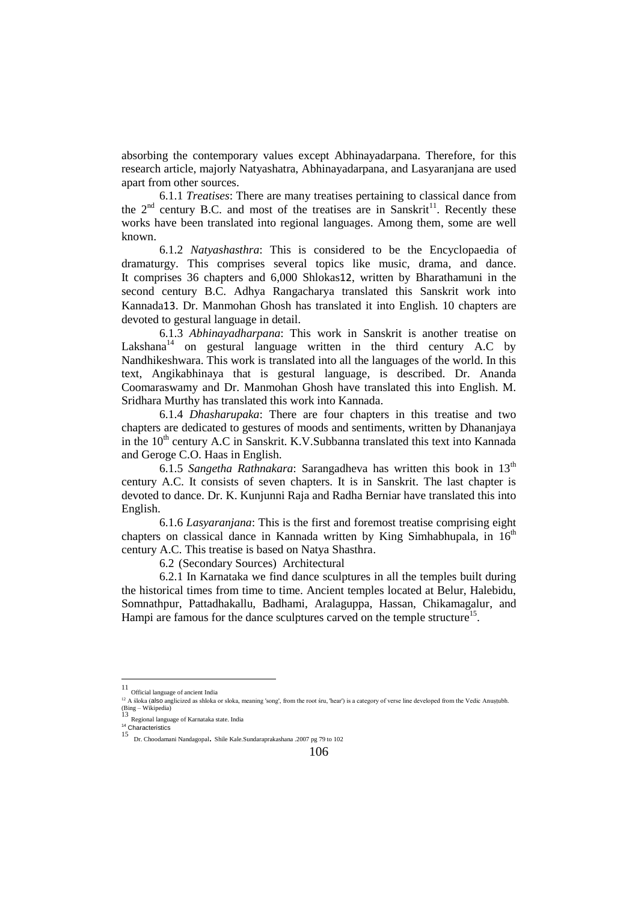absorbing the contemporary values except Abhinayadarpana. Therefore, for this research article, majorly Natyashatra, Abhinayadarpana, and Lasyaranjana are used apart from other sources.

6.1.1 *Treatises*: There are many treatises pertaining to classical dance from the  $2<sup>nd</sup>$  century B.C. and most of the treatises are in Sanskrit<sup>11</sup>. Recently these works have been translated into regional languages. Among them, some are well known.

6.1.2 *Natyashasthra*: This is considered to be the Encyclopaedia of dramaturgy. This comprises several topics like music, drama, and dance. It comprises 36 chapters and 6,000 Shlokas12, written by Bharathamuni in the second century B.C. Adhya Rangacharya translated this Sanskrit work into Kannada13. Dr. Manmohan Ghosh has translated it into English. 10 chapters are devoted to gestural language in detail.

6.1.3 *Abhinayadharpana*: This work in Sanskrit is another treatise on Lakshana<sup>14</sup> on gestural language written in the third century A.C by Nandhikeshwara. This work is translated into all the languages of the world. In this text, Angikabhinaya that is gestural language, is described. Dr. Ananda Coomaraswamy and Dr. Manmohan Ghosh have translated this into English. M. Sridhara Murthy has translated this work into Kannada.

6.1.4 *Dhasharupaka*: There are four chapters in this treatise and two chapters are dedicated to gestures of moods and sentiments, written by Dhananjaya in the  $10<sup>th</sup>$  century A.C in Sanskrit. K.V. Subbanna translated this text into Kannada and Geroge C.O. Haas in English.

6.1.5 *Sangetha Rathnakara*: Sarangadheva has written this book in 13th century A.C. It consists of seven chapters. It is in Sanskrit. The last chapter is devoted to dance. Dr. K. Kunjunni Raja and Radha Berniar have translated this into English.

6.1.6 *Lasyaranjana*: This is the first and foremost treatise comprising eight chapters on classical dance in Kannada written by King Simhabhupala, in  $16<sup>th</sup>$ century A.C. This treatise is based on Natya Shasthra.

6.2 (Secondary Sources) Architectural

6.2.1 In Karnataka we find dance sculptures in all the temples built during the historical times from time to time. Ancient temples located at Belur, Halebidu, Somnathpur, Pattadhakallu, Badhami, Aralaguppa, Hassan, Chikamagalur, and Hampi are famous for the dance sculptures carved on the temple structure<sup>15</sup>.

 11 Official language of ancient India

 $12$  A śloka (also anglicized as shloka or sloka, meaning 'song', from the root śru, 'hear') is a category of verse line developed from the Vedic Anustubh. (Bing – Wikipedia) 13

Regional language of Karnataka state. India

<sup>&</sup>lt;sup>14</sup> Characteristics<br> $15$ 

Dr. Choodamani Nandagopal. Shile Kale.Sundaraprakashana .2007 pg 79 to 102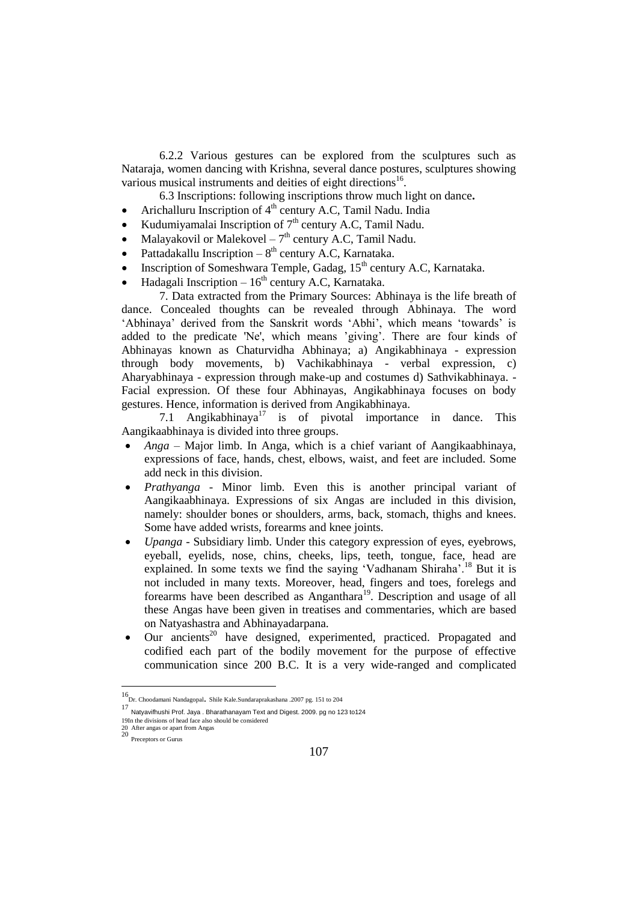6.2.2 Various gestures can be explored from the sculptures such as Nataraja, women dancing with Krishna, several dance postures, sculptures showing various musical instruments and deities of eight directions<sup>16</sup>.

6.3 Inscriptions: following inscriptions throw much light on dance**.**

- Arichalluru Inscription of 4<sup>th</sup> century A.C, Tamil Nadu. India
- Kudumiyamalai Inscription of  $7<sup>th</sup>$  century A.C, Tamil Nadu.
- Malayakovil or Malekovel  $-7<sup>th</sup>$  century A.C, Tamil Nadu.
- Pattadakallu Inscription  $-8<sup>th</sup>$  century A.C, Karnataka.
- Inscription of Someshwara Temple, Gadag, 15<sup>th</sup> century A.C, Karnataka.
- Hadagali Inscription  $-16<sup>th</sup>$  century A.C, Karnataka.

7. Data extracted from the Primary Sources: Abhinaya is the life breath of dance. Concealed thoughts can be revealed through Abhinaya. The word 'Abhinaya' derived from the Sanskrit words 'Abhi', which means 'towards' is added to the predicate 'Ne', which means 'giving'. There are four kinds of Abhinayas known as Chaturvidha Abhinaya; a) Angikabhinaya - expression through body movements, b) Vachikabhinaya - verbal expression, c) Aharyabhinaya - expression through make-up and costumes d) Sathvikabhinaya. - Facial expression. Of these four Abhinayas, Angikabhinaya focuses on body gestures. Hence, information is derived from Angikabhinaya.

7.1 Angikabhinaya<sup>17</sup> is of pivotal importance in dance. This Aangikaabhinaya is divided into three groups.

- *Anga* Major limb. In Anga, which is a chief variant of Aangikaabhinaya, expressions of face, hands, chest, elbows, waist, and feet are included. Some add neck in this division.
- *Prathyanga* Minor limb. Even this is another principal variant of Aangikaabhinaya. Expressions of six Angas are included in this division, namely: shoulder bones or shoulders, arms, back, stomach, thighs and knees. Some have added wrists, forearms and knee joints.
- *Upanga* Subsidiary limb. Under this category expression of eyes, eyebrows, eyeball, eyelids, nose, chins, cheeks, lips, teeth, tongue, face, head are explained. In some texts we find the saying 'Vadhanam Shiraha'.<sup>18</sup> But it is not included in many texts. Moreover, head, fingers and toes, forelegs and forearms have been described as Anganthara<sup>19</sup>. Description and usage of all these Angas have been given in treatises and commentaries, which are based on Natyashastra and Abhinayadarpana.
- Our ancients<sup>20</sup> have designed, experimented, practiced. Propagated and codified each part of the bodily movement for the purpose of effective communication since 200 B.C. It is a very wide-ranged and complicated

<sup>16</sup> Dr. Choodamani Nandagopal. Shile Kale.Sundaraprakashana .2007 pg. 151 to 204

<sup>17</sup> Natyavifhushi Prof. Jaya . Bharathanayam Text and Digest. 2009. pg no 123 to124

<sup>19</sup>In the divisions of head face also should be considered

<sup>20</sup> After angas or apart from Angas 20 Preceptors or Gurus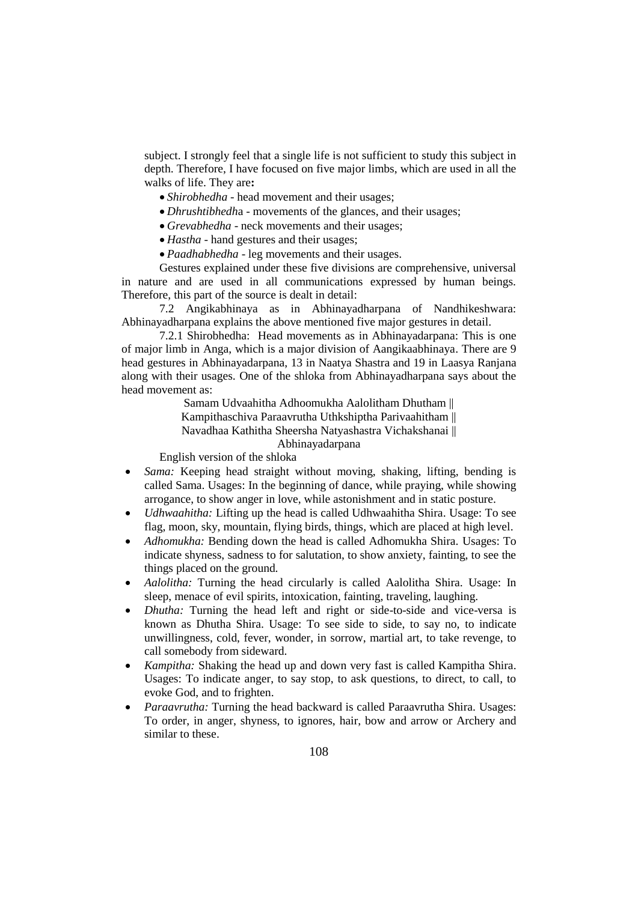subject. I strongly feel that a single life is not sufficient to study this subject in depth. Therefore, I have focused on five major limbs, which are used in all the walks of life. They are**:**

- *Shirobhedha* head movement and their usages;
- *Dhrushtibhedh*a movements of the glances, and their usages;
- *Grevabhedha* neck movements and their usages;
- *Hastha* hand gestures and their usages;
- *Paadhabhedha* leg movements and their usages.

Gestures explained under these five divisions are comprehensive, universal in nature and are used in all communications expressed by human beings. Therefore, this part of the source is dealt in detail:

7.2 Angikabhinaya as in Abhinayadharpana of Nandhikeshwara: Abhinayadharpana explains the above mentioned five major gestures in detail.

7.2.1 Shirobhedha: Head movements as in Abhinayadarpana: This is one of major limb in Anga, which is a major division of Aangikaabhinaya. There are 9 head gestures in Abhinayadarpana, 13 in Naatya Shastra and 19 in Laasya Ranjana along with their usages. One of the shloka from Abhinayadharpana says about the head movement as:

> Samam Udvaahitha Adhoomukha Aalolitham Dhutham || Kampithaschiva Paraavrutha Uthkshiptha Parivaahitham || Navadhaa Kathitha Sheersha Natyashastra Vichakshanai || Abhinayadarpana

English version of the shloka

- *Sama:* Keeping head straight without moving, shaking, lifting, bending is called Sama. Usages: In the beginning of dance, while praying, while showing arrogance, to show anger in love, while astonishment and in static posture.
- *Udhwaahitha:* Lifting up the head is called Udhwaahitha Shira. Usage: To see flag, moon, sky, mountain, flying birds, things, which are placed at high level.
- *Adhomukha:* Bending down the head is called Adhomukha Shira. Usages: To indicate shyness, sadness to for salutation, to show anxiety, fainting, to see the things placed on the ground.
- *Aalolitha:* Turning the head circularly is called Aalolitha Shira. Usage: In sleep, menace of evil spirits, intoxication, fainting, traveling, laughing.
- *Dhutha:* Turning the head left and right or side-to-side and vice-versa is known as Dhutha Shira. Usage: To see side to side, to say no, to indicate unwillingness, cold, fever, wonder, in sorrow, martial art, to take revenge, to call somebody from sideward.
- *Kampitha:* Shaking the head up and down very fast is called Kampitha Shira. Usages: To indicate anger, to say stop, to ask questions, to direct, to call, to evoke God, and to frighten.
- *Paraavrutha:* Turning the head backward is called Paraavrutha Shira. Usages: To order, in anger, shyness, to ignores, hair, bow and arrow or Archery and similar to these.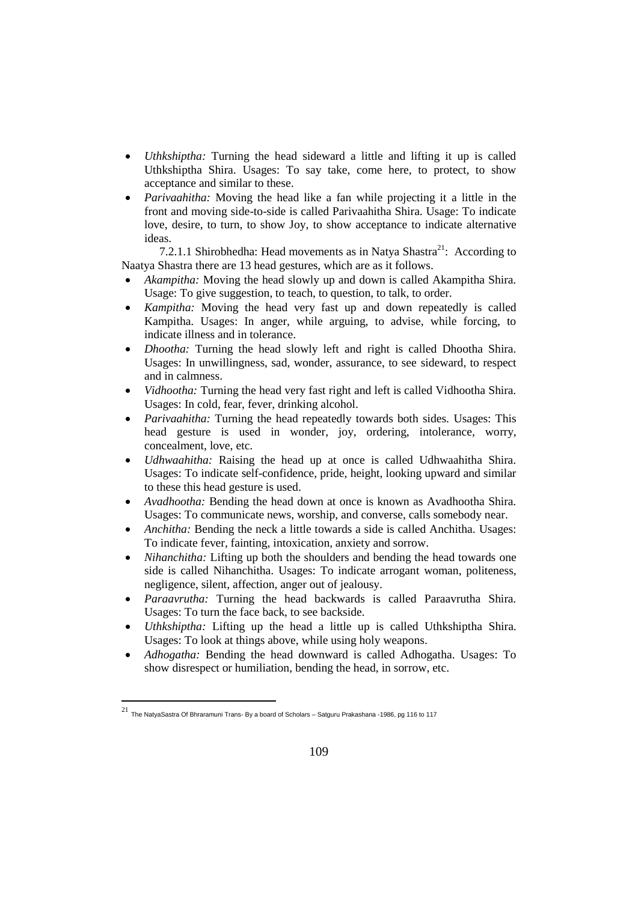- *Uthkshiptha:* Turning the head sideward a little and lifting it up is called Uthkshiptha Shira. Usages: To say take, come here, to protect, to show acceptance and similar to these.
- *Parivaahitha:* Moving the head like a fan while projecting it a little in the front and moving side-to-side is called Parivaahitha Shira. Usage: To indicate love, desire, to turn, to show Joy, to show acceptance to indicate alternative ideas.

7.2.1.1 Shirobhedha: Head movements as in Natya Shastra<sup>21</sup>: According to Naatya Shastra there are 13 head gestures, which are as it follows.

- *Akampitha:* Moving the head slowly up and down is called Akampitha Shira. Usage: To give suggestion, to teach, to question, to talk, to order.
- *Kampitha:* Moving the head very fast up and down repeatedly is called Kampitha. Usages: In anger, while arguing, to advise, while forcing, to indicate illness and in tolerance.
- *Dhootha:* Turning the head slowly left and right is called Dhootha Shira. Usages: In unwillingness, sad, wonder, assurance, to see sideward, to respect and in calmness.
- *Vidhootha:* Turning the head very fast right and left is called Vidhootha Shira. Usages: In cold, fear, fever, drinking alcohol.
- *Parivaahitha:* Turning the head repeatedly towards both sides. Usages: This head gesture is used in wonder, joy, ordering, intolerance, worry, concealment, love, etc.
- *Udhwaahitha:* Raising the head up at once is called Udhwaahitha Shira. Usages: To indicate self-confidence, pride, height, looking upward and similar to these this head gesture is used.
- *Avadhootha:* Bending the head down at once is known as Avadhootha Shira. Usages: To communicate news, worship, and converse, calls somebody near.
- *Anchitha:* Bending the neck a little towards a side is called Anchitha. Usages: To indicate fever, fainting, intoxication, anxiety and sorrow.
- *Nihanchitha:* Lifting up both the shoulders and bending the head towards one side is called Nihanchitha. Usages: To indicate arrogant woman, politeness, negligence, silent, affection, anger out of jealousy.
- *Paraavrutha:* Turning the head backwards is called Paraavrutha Shira. Usages: To turn the face back, to see backside.
- *Uthkshiptha:* Lifting up the head a little up is called Uthkshiptha Shira. Usages: To look at things above, while using holy weapons.
- *Adhogatha:* Bending the head downward is called Adhogatha. Usages: To show disrespect or humiliation, bending the head, in sorrow, etc.

 21 The NatyaSastra Of Bhraramuni Trans- By a board of Scholars – Satguru Prakashana -1986, pg 116 to 117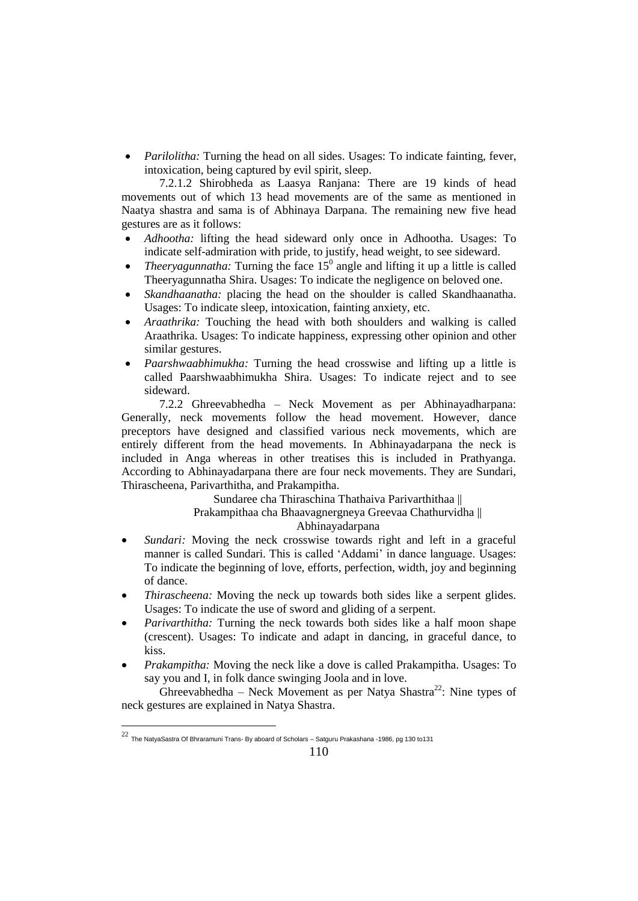*Parilolitha:* Turning the head on all sides. Usages: To indicate fainting, fever, intoxication, being captured by evil spirit, sleep.

7.2.1.2 Shirobheda as Laasya Ranjana: There are 19 kinds of head movements out of which 13 head movements are of the same as mentioned in Naatya shastra and sama is of Abhinaya Darpana. The remaining new five head gestures are as it follows:

- *Adhootha:* lifting the head sideward only once in Adhootha. Usages: To indicate self-admiration with pride, to justify, head weight, to see sideward.
- *Theeryagunnatha:* Turning the face  $15^{\circ}$  angle and lifting it up a little is called Theeryagunnatha Shira. Usages: To indicate the negligence on beloved one.
- *Skandhaanatha:* placing the head on the shoulder is called Skandhaanatha. Usages: To indicate sleep, intoxication, fainting anxiety, etc.
- *Araathrika:* Touching the head with both shoulders and walking is called Araathrika. Usages: To indicate happiness, expressing other opinion and other similar gestures.
- *Paarshwaabhimukha:* Turning the head crosswise and lifting up a little is called Paarshwaabhimukha Shira. Usages: To indicate reject and to see sideward.

7.2.2 Ghreevabhedha – Neck Movement as per Abhinayadharpana: Generally, neck movements follow the head movement. However, dance preceptors have designed and classified various neck movements, which are entirely different from the head movements. In Abhinayadarpana the neck is included in Anga whereas in other treatises this is included in Prathyanga. According to Abhinayadarpana there are four neck movements. They are Sundari, Thirascheena, Parivarthitha, and Prakampitha.

> Sundaree cha Thiraschina Thathaiva Parivarthithaa || Prakampithaa cha Bhaavagnergneya Greevaa Chathurvidha || Abhinayadarpana

- *Sundari:* Moving the neck crosswise towards right and left in a graceful manner is called Sundari. This is called 'Addami' in dance language. Usages: To indicate the beginning of love, efforts, perfection, width, joy and beginning of dance.
- *Thirascheena:* Moving the neck up towards both sides like a serpent glides. Usages: To indicate the use of sword and gliding of a serpent.
- *Parivarthitha:* Turning the neck towards both sides like a half moon shape (crescent). Usages: To indicate and adapt in dancing, in graceful dance, to kiss.
- *Prakampitha:* Moving the neck like a dove is called Prakampitha. Usages: To say you and I, in folk dance swinging Joola and in love.

Ghreevabhedha – Neck Movement as per Natya Shastra<sup>22</sup>: Nine types of neck gestures are explained in Natya Shastra.

 $^{22}$  The NatyaSastra Of Bhraramuni Trans- By aboard of Scholars – Satguru Prakashana -1986, pg 130 to131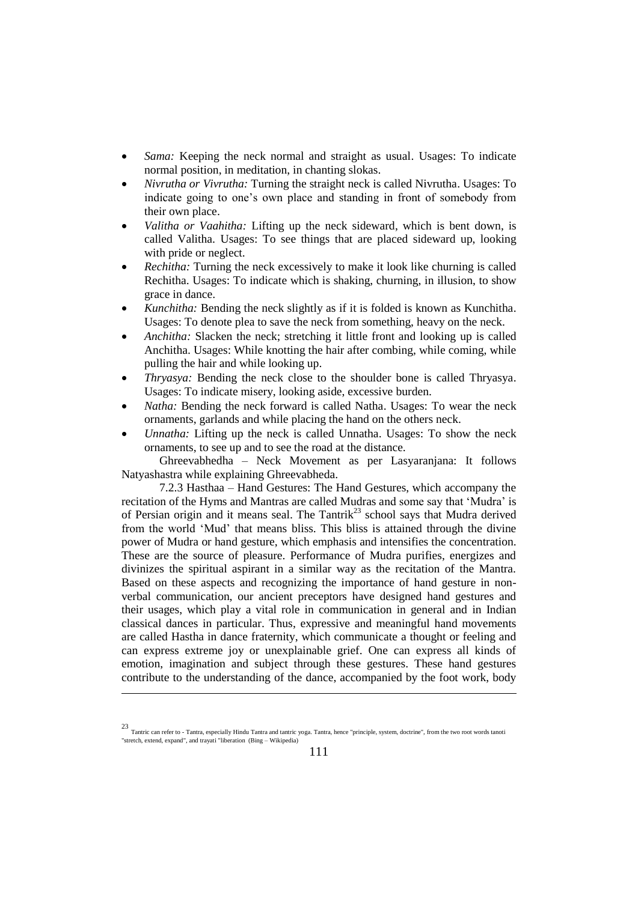- *Sama:* Keeping the neck normal and straight as usual. Usages: To indicate normal position, in meditation, in chanting slokas.
- *Nivrutha or Vivrutha:* Turning the straight neck is called Nivrutha. Usages: To indicate going to one's own place and standing in front of somebody from their own place.
- *Valitha or Vaahitha:* Lifting up the neck sideward, which is bent down, is called Valitha. Usages: To see things that are placed sideward up, looking with pride or neglect.
- *Rechitha:* Turning the neck excessively to make it look like churning is called Rechitha. Usages: To indicate which is shaking, churning, in illusion, to show grace in dance.
- *Kunchitha:* Bending the neck slightly as if it is folded is known as Kunchitha. Usages: To denote plea to save the neck from something, heavy on the neck.
- *Anchitha:* Slacken the neck: stretching it little front and looking up is called Anchitha. Usages: While knotting the hair after combing, while coming, while pulling the hair and while looking up.
- *Thryasya:* Bending the neck close to the shoulder bone is called Thryasya. Usages: To indicate misery, looking aside, excessive burden.
- *Natha:* Bending the neck forward is called Natha. Usages: To wear the neck ornaments, garlands and while placing the hand on the others neck.
- *Unnatha:* Lifting up the neck is called Unnatha. Usages: To show the neck ornaments, to see up and to see the road at the distance.

Ghreevabhedha – Neck Movement as per Lasyaranjana: It follows Natyashastra while explaining Ghreevabheda.

7.2.3 Hasthaa – Hand Gestures: The Hand Gestures, which accompany the recitation of the Hyms and Mantras are called Mudras and some say that 'Mudra' is of Persian origin and it means seal. The Tantrik<sup>23</sup> school says that Mudra derived from the world 'Mud' that means bliss. This bliss is attained through the divine power of Mudra or hand gesture, which emphasis and intensifies the concentration. These are the source of pleasure. Performance of Mudra purifies, energizes and divinizes the spiritual aspirant in a similar way as the recitation of the Mantra. Based on these aspects and recognizing the importance of hand gesture in nonverbal communication, our ancient preceptors have designed hand gestures and their usages, which play a vital role in communication in general and in Indian classical dances in particular. Thus, expressive and meaningful hand movements are called Hastha in dance fraternity, which communicate a thought or feeling and can express extreme joy or unexplainable grief. One can express all kinds of emotion, imagination and subject through these gestures. These hand gestures contribute to the understanding of the dance, accompanied by the foot work, body

<sup>23</sup> Tantric can refer to - Tantra, especially Hindu Tantra and tantric yoga. Tantra, hence "principle, system, doctrine", from the two root words tanoti "stretch, extend, expand", and trayati "liberation (Bing – Wikipedia)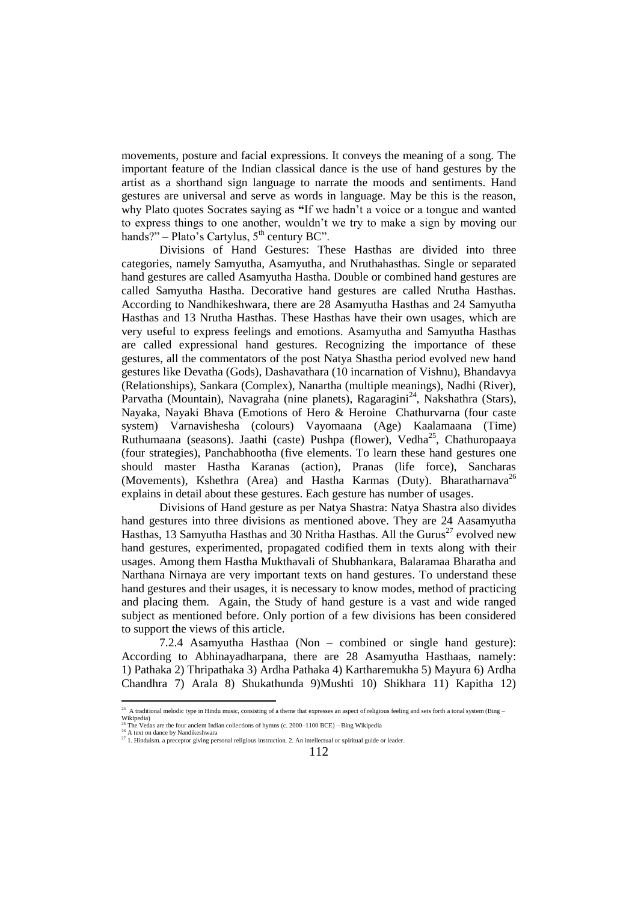movements, posture and facial expressions. It conveys the meaning of a song. The important feature of the Indian classical dance is the use of hand gestures by the artist as a shorthand sign language to narrate the moods and sentiments. Hand gestures are universal and serve as words in language. May be this is the reason, why Plato quotes Socrates saying as **"**If we hadn't a voice or a tongue and wanted to express things to one another, wouldn't we try to make a sign by moving our hands?" – Plato's Cartylus,  $5<sup>th</sup>$  century BC".

Divisions of Hand Gestures: These Hasthas are divided into three categories, namely Samyutha, Asamyutha, and Nruthahasthas. Single or separated hand gestures are called Asamyutha Hastha. Double or combined hand gestures are called Samyutha Hastha. Decorative hand gestures are called Nrutha Hasthas. According to Nandhikeshwara, there are 28 Asamyutha Hasthas and 24 Samyutha Hasthas and 13 Nrutha Hasthas. These Hasthas have their own usages, which are very useful to express feelings and emotions. Asamyutha and Samyutha Hasthas are called expressional hand gestures. Recognizing the importance of these gestures, all the commentators of the post Natya Shastha period evolved new hand gestures like Devatha (Gods), Dashavathara (10 incarnation of Vishnu), Bhandavya (Relationships), Sankara (Complex), Nanartha (multiple meanings), Nadhi (River), Parvatha (Mountain), Navagraha (nine planets), Ragaragini<sup>24</sup>, Nakshathra (Stars), Nayaka, Nayaki Bhava (Emotions of Hero & Heroine Chathurvarna (four caste system) Varnavishesha (colours) Vayomaana (Age) Kaalamaana (Time) Ruthumaana (seasons). Jaathi (caste) Pushpa (flower), Vedha<sup>25</sup>, Chathuropaaya (four strategies), Panchabhootha (five elements. To learn these hand gestures one should master Hastha Karanas (action), Pranas (life force), Sancharas (Movements), Kshethra (Area) and Hastha Karmas (Duty). Bharatharnava<sup>26</sup> explains in detail about these gestures. Each gesture has number of usages.

Divisions of Hand gesture as per Natya Shastra: Natya Shastra also divides hand gestures into three divisions as mentioned above. They are 24 Aasamyutha Hasthas, 13 Samyutha Hasthas and 30 Nritha Hasthas. All the Gurus<sup>27</sup> evolved new hand gestures, experimented, propagated codified them in texts along with their usages. Among them Hastha Mukthavali of Shubhankara, Balaramaa Bharatha and Narthana Nirnaya are very important texts on hand gestures. To understand these hand gestures and their usages, it is necessary to know modes, method of practicing and placing them. Again, the Study of hand gesture is a vast and wide ranged subject as mentioned before. Only portion of a few divisions has been considered to support the views of this article.

7.2.4 Asamyutha Hasthaa (Non – combined or single hand gesture): According to Abhinayadharpana, there are 28 Asamyutha Hasthaas, namely: 1) Pathaka 2) Thripathaka 3) Ardha Pathaka 4) Kartharemukha 5) Mayura 6) Ardha Chandhra 7) Arala 8) Shukathunda 9)Mushti 10) Shikhara 11) Kapitha 12)

<sup>&</sup>lt;sup>24</sup> A traditional melodic type in Hindu music, consisting of a theme that expresses an aspect of religious feeling and sets forth a tonal system (Bing –

Wikipedia) <sup>25</sup> The Vedas are the four ancient Indian collections of hymns (c. 2000–1100 BCE) – Bing Wikipedia A text on dance by Nandikeshwara

 $27$  1. Hinduism. a preceptor giving personal religious instruction. 2. An intellectual or spiritual guide or leader.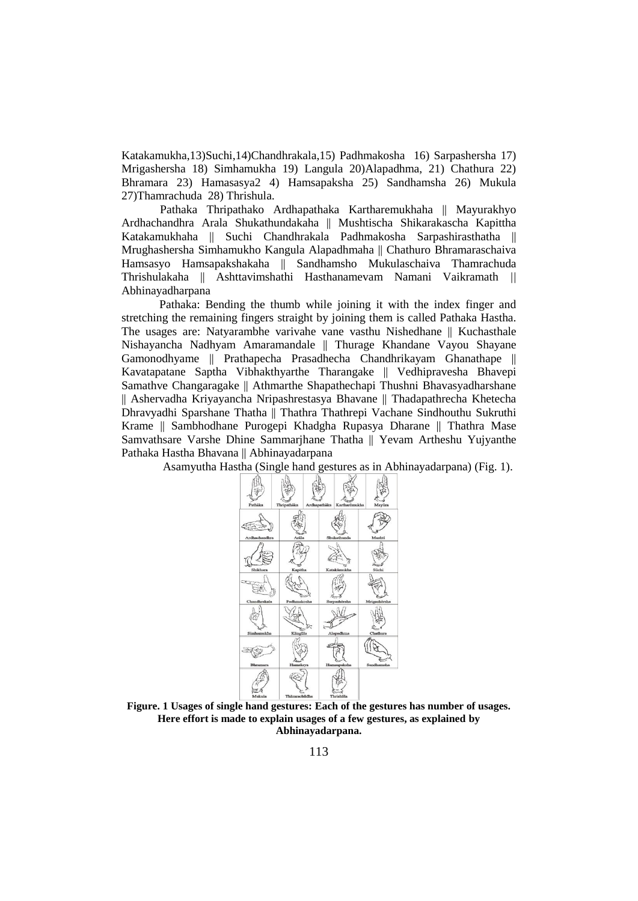Katakamukha,13)Suchi,14)Chandhrakala,15) Padhmakosha 16) Sarpashersha 17) Mrigashersha 18) Simhamukha 19) Langula 20)Alapadhma, 21) Chathura 22) Bhramara 23) Hamasasya2 4) Hamsapaksha 25) Sandhamsha 26) Mukula 27)Thamrachuda 28) Thrishula.

Pathaka Thripathako Ardhapathaka Kartharemukhaha || Mayurakhyo Ardhachandhra Arala Shukathundakaha || Mushtischa Shikarakascha Kapittha Katakamukhaha || Suchi Chandhrakala Padhmakosha Sarpashirasthatha || Mrughashersha Simhamukho Kangula Alapadhmaha || Chathuro Bhramaraschaiva Hamsasyo Hamsapakshakaha || Sandhamsho Mukulaschaiva Thamrachuda Thrishulakaha || Ashttavimshathi Hasthanamevam Namani Vaikramath *||* Abhinayadharpana

Pathaka: Bending the thumb while joining it with the index finger and stretching the remaining fingers straight by joining them is called Pathaka Hastha. The usages are: Natyarambhe varivahe vane vasthu Nishedhane || Kuchasthale Nishayancha Nadhyam Amaramandale || Thurage Khandane Vayou Shayane Gamonodhyame || Prathapecha Prasadhecha Chandhrikayam Ghanathape || Kavatapatane Saptha Vibhakthyarthe Tharangake || Vedhipravesha Bhavepi Samathve Changaragake || Athmarthe Shapathechapi Thushni Bhavasyadharshane || Ashervadha Kriyayancha Nripashrestasya Bhavane || Thadapathrecha Khetecha Dhravyadhi Sparshane Thatha || Thathra Thathrepi Vachane Sindhouthu Sukruthi Krame || Sambhodhane Purogepi Khadgha Rupasya Dharane || Thathra Mase Samvathsare Varshe Dhine Sammarjhane Thatha || Yevam Artheshu Yujyanthe Pathaka Hastha Bhavana || Abhinayadarpana

Asamyutha Hastha (Single hand gestures as in Abhinayadarpana) (Fig. 1).



**Figure. 1 Usages of single hand gestures: Each of the gestures has number of usages. Here effort is made to explain usages of a few gestures, as explained by Abhinayadarpana.**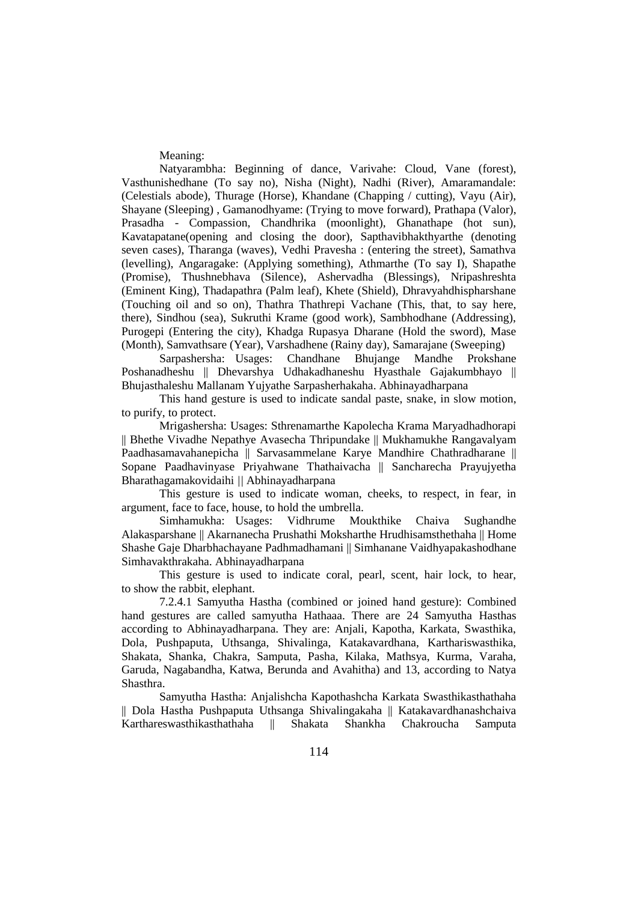Meaning:

Natyarambha: Beginning of dance, Varivahe: Cloud, Vane (forest), Vasthunishedhane (To say no), Nisha (Night), Nadhi (River), Amaramandale: (Celestials abode), Thurage (Horse), Khandane (Chapping / cutting), Vayu (Air), Shayane (Sleeping) , Gamanodhyame: (Trying to move forward), Prathapa (Valor), Prasadha - Compassion, Chandhrika (moonlight), Ghanathape (hot sun), Kavatapatane(opening and closing the door), Sapthavibhakthyarthe (denoting seven cases), Tharanga (waves), Vedhi Pravesha : (entering the street), Samathva (levelling), Angaragake: (Applying something), Athmarthe (To say I), Shapathe (Promise), Thushnebhava (Silence), Ashervadha (Blessings), Nripashreshta (Eminent King), Thadapathra (Palm leaf), Khete (Shield), Dhravyahdhispharshane (Touching oil and so on), Thathra Thathrepi Vachane (This, that, to say here, there), Sindhou (sea), Sukruthi Krame (good work), Sambhodhane (Addressing), Purogepi (Entering the city), Khadga Rupasya Dharane (Hold the sword), Mase (Month), Samvathsare (Year), Varshadhene (Rainy day), Samarajane (Sweeping)

Sarpashersha: Usages: Chandhane Bhujange Mandhe Prokshane Poshanadheshu || Dhevarshya Udhakadhaneshu Hyasthale Gajakumbhayo || Bhujasthaleshu Mallanam Yujyathe Sarpasherhakaha. Abhinayadharpana

This hand gesture is used to indicate sandal paste, snake, in slow motion, to purify, to protect.

Mrigashersha: Usages: Sthrenamarthe Kapolecha Krama Maryadhadhorapi || Bhethe Vivadhe Nepathye Avasecha Thripundake || Mukhamukhe Rangavalyam Paadhasamavahanepicha || Sarvasammelane Karye Mandhire Chathradharane || Sopane Paadhavinyase Priyahwane Thathaivacha || Sancharecha Prayujyetha Bharathagamakovidaihi *||* Abhinayadharpana

This gesture is used to indicate woman, cheeks, to respect, in fear, in argument, face to face, house, to hold the umbrella.

Simhamukha: Usages: Vidhrume Moukthike Chaiva Sughandhe Alakasparshane || Akarnanecha Prushathi Moksharthe Hrudhisamsthethaha || Home Shashe Gaje Dharbhachayane Padhmadhamani || Simhanane Vaidhyapakashodhane Simhavakthrakaha. Abhinayadharpana

This gesture is used to indicate coral, pearl, scent, hair lock, to hear, to show the rabbit, elephant.

7.2.4.1 Samyutha Hastha (combined or joined hand gesture): Combined hand gestures are called samyutha Hathaaa. There are 24 Samyutha Hasthas according to Abhinayadharpana. They are: Anjali, Kapotha, Karkata, Swasthika, Dola, Pushpaputa, Uthsanga, Shivalinga, Katakavardhana, Karthariswasthika, Shakata, Shanka, Chakra, Samputa, Pasha, Kilaka, Mathsya, Kurma, Varaha, Garuda, Nagabandha, Katwa, Berunda and Avahitha) and 13, according to Natya Shasthra.

Samyutha Hastha: Anjalishcha Kapothashcha Karkata Swasthikasthathaha || Dola Hastha Pushpaputa Uthsanga Shivalingakaha || Katakavardhanashchaiva Karthareswasthikasthathaha || Shakata Shankha Chakroucha Samputa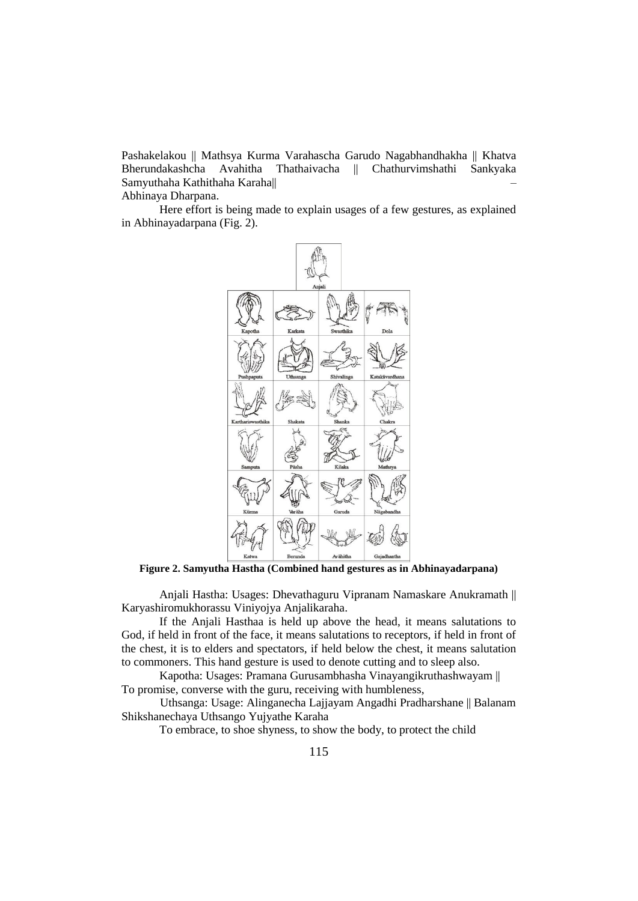Pashakelakou || Mathsya Kurma Varahascha Garudo Nagabhandhakha || Khatva Bherundakashcha Avahitha Thathaivacha || Chathurvimshathi Sankyaka Samyuthaha Kathithaha Karaha||– Abhinaya Dharpana.

Here effort is being made to explain usages of a few gestures, as explained in Abhinayadarpana (Fig. 2).



**Figure 2. Samyutha Hastha (Combined hand gestures as in Abhinayadarpana)**

Anjali Hastha: Usages: Dhevathaguru Vipranam Namaskare Anukramath || Karyashiromukhorassu Viniyojya Anjalikaraha.

If the Anjali Hasthaa is held up above the head, it means salutations to God, if held in front of the face, it means salutations to receptors, if held in front of the chest, it is to elders and spectators, if held below the chest, it means salutation to commoners. This hand gesture is used to denote cutting and to sleep also.

Kapotha: Usages: Pramana Gurusambhasha Vinayangikruthashwayam || To promise, converse with the guru, receiving with humbleness,

Uthsanga: Usage: Alinganecha Lajjayam Angadhi Pradharshane || Balanam Shikshanechaya Uthsango Yujyathe Karaha

To embrace, to shoe shyness, to show the body, to protect the child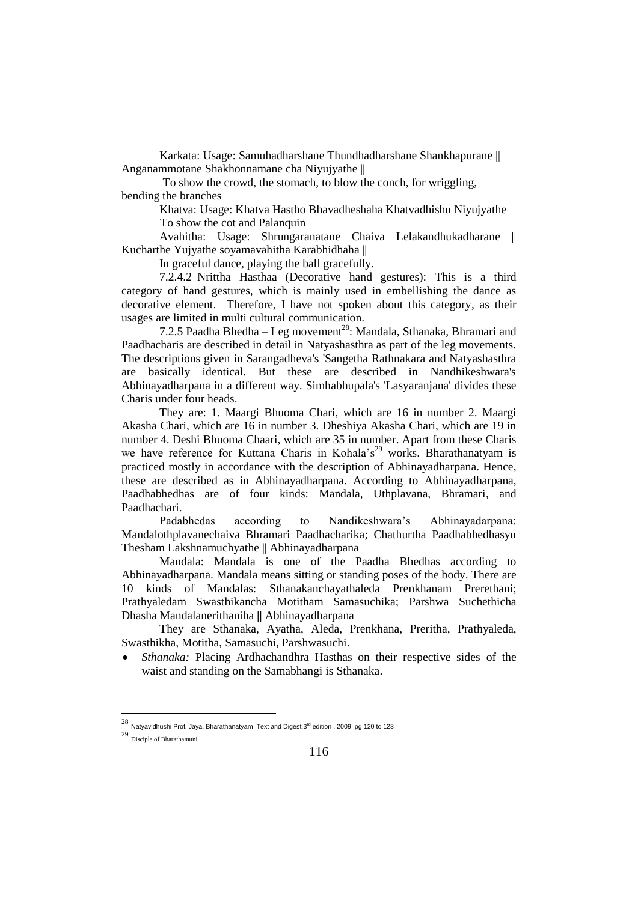Karkata: Usage: Samuhadharshane Thundhadharshane Shankhapurane || Anganammotane Shakhonnamane cha Niyujyathe ||

To show the crowd, the stomach, to blow the conch, for wriggling, bending the branches

Khatva: Usage: Khatva Hastho Bhavadheshaha Khatvadhishu Niyujyathe To show the cot and Palanquin

Avahitha: Usage: Shrungaranatane Chaiva Lelakandhukadharane || Kucharthe Yujyathe soyamavahitha Karabhidhaha ||

In graceful dance, playing the ball gracefully.

7.2.4.2 Nrittha Hasthaa (Decorative hand gestures): This is a third category of hand gestures, which is mainly used in embellishing the dance as decorative element. Therefore, I have not spoken about this category, as their usages are limited in multi cultural communication.

7.2.5 Paadha Bhedha – Leg movement<sup>28</sup>: Mandala, Sthanaka, Bhramari and Paadhacharis are described in detail in Natyashasthra as part of the leg movements. The descriptions given in Sarangadheva's 'Sangetha Rathnakara and Natyashasthra are basically identical. But these are described in Nandhikeshwara's Abhinayadharpana in a different way. Simhabhupala's 'Lasyaranjana' divides these Charis under four heads.

They are: 1. Maargi Bhuoma Chari, which are 16 in number 2. Maargi Akasha Chari, which are 16 in number 3. Dheshiya Akasha Chari, which are 19 in number 4. Deshi Bhuoma Chaari, which are 35 in number. Apart from these Charis we have reference for Kuttana Charis in Kohala's<sup>29</sup> works. Bharathanatyam is practiced mostly in accordance with the description of Abhinayadharpana. Hence, these are described as in Abhinayadharpana. According to Abhinayadharpana, Paadhabhedhas are of four kinds: Mandala, Uthplavana, Bhramari, and Paadhachari.

Padabhedas according to Nandikeshwara's Abhinayadarpana: Mandalothplavanechaiva Bhramari Paadhacharika; Chathurtha Paadhabhedhasyu Thesham Lakshnamuchyathe || Abhinayadharpana

Mandala: Mandala is one of the Paadha Bhedhas according to Abhinayadharpana. Mandala means sitting or standing poses of the body. There are 10 kinds of Mandalas: Sthanakanchayathaleda Prenkhanam Prerethani; Prathyaledam Swasthikancha Motitham Samasuchika; Parshwa Suchethicha Dhasha Mandalanerithaniha *||* Abhinayadharpana

They are Sthanaka, Ayatha, Aleda, Prenkhana, Preritha, Prathyaleda, Swasthikha, Motitha, Samasuchi, Parshwasuchi.

 *Sthanaka:* Placing Ardhachandhra Hasthas on their respective sides of the waist and standing on the Samabhangi is Sthanaka.

<sup>28&</sup>lt;br>Natyavidhushi Prof. Jaya, Bharathanatyam Text and Digest,3<sup>rd</sup> edition , 2009 pg 120 to 123

<sup>29</sup> Disciple of Bharathamuni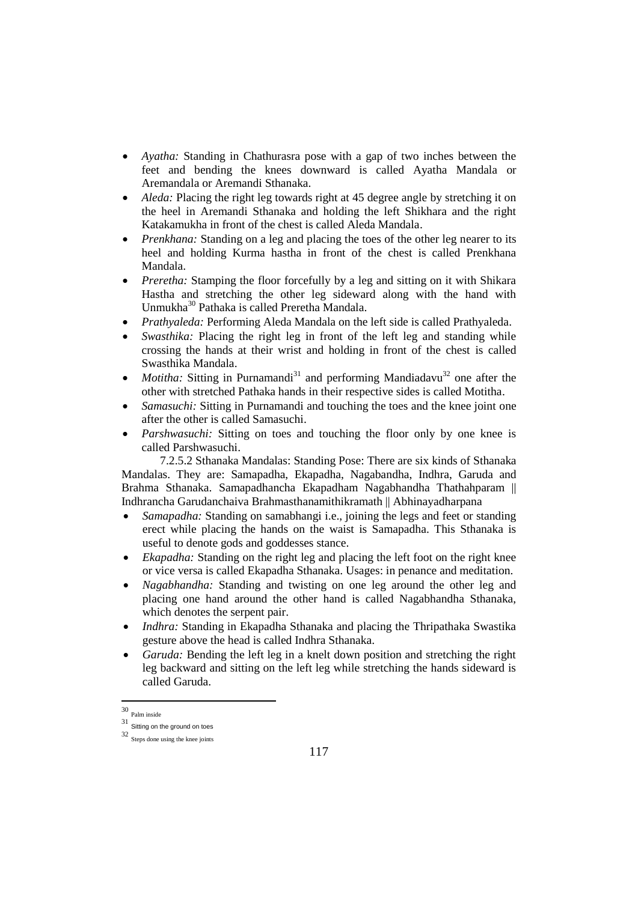- *Ayatha:* Standing in Chathurasra pose with a gap of two inches between the feet and bending the knees downward is called Ayatha Mandala or Aremandala or Aremandi Sthanaka.
- *Aleda:* Placing the right leg towards right at 45 degree angle by stretching it on the heel in Aremandi Sthanaka and holding the left Shikhara and the right Katakamukha in front of the chest is called Aleda Mandala.
- *Prenkhana:* Standing on a leg and placing the toes of the other leg nearer to its heel and holding Kurma hastha in front of the chest is called Prenkhana Mandala.
- *Preretha:* Stamping the floor forcefully by a leg and sitting on it with Shikara Hastha and stretching the other leg sideward along with the hand with Unmukha<sup>30</sup> Pathaka is called Preretha Mandala.
- *Prathyaleda:* Performing Aleda Mandala on the left side is called Prathyaleda.
- *Swasthika:* Placing the right leg in front of the left leg and standing while crossing the hands at their wrist and holding in front of the chest is called Swasthika Mandala.
- *Motitha:* Sitting in Purnamandi<sup>31</sup> and performing Mandiadavu<sup>32</sup> one after the other with stretched Pathaka hands in their respective sides is called Motitha.
- *Samasuchi:* Sitting in Purnamandi and touching the toes and the knee joint one after the other is called Samasuchi.
- *Parshwasuchi:* Sitting on toes and touching the floor only by one knee is called Parshwasuchi.

7.2.5.2 Sthanaka Mandalas: Standing Pose: There are six kinds of Sthanaka Mandalas. They are: Samapadha, Ekapadha, Nagabandha, Indhra, Garuda and Brahma Sthanaka. Samapadhancha Ekapadham Nagabhandha Thathahparam || Indhrancha Garudanchaiva Brahmasthanamithikramath || Abhinayadharpana

- *Samapadha:* Standing on samabhangi i.e., joining the legs and feet or standing erect while placing the hands on the waist is Samapadha. This Sthanaka is useful to denote gods and goddesses stance.
- *Ekapadha:* Standing on the right leg and placing the left foot on the right knee or vice versa is called Ekapadha Sthanaka. Usages: in penance and meditation.
- *Nagabhandha:* Standing and twisting on one leg around the other leg and placing one hand around the other hand is called Nagabhandha Sthanaka, which denotes the serpent pair.
- *Indhra:* Standing in Ekapadha Sthanaka and placing the Thripathaka Swastika gesture above the head is called Indhra Sthanaka.
- *Garuda:* Bending the left leg in a knelt down position and stretching the right leg backward and sitting on the left leg while stretching the hands sideward is called Garuda.

 30 Palm inside

<sup>31</sup> Sitting on the ground on toes

<sup>32</sup> Steps done using the knee joints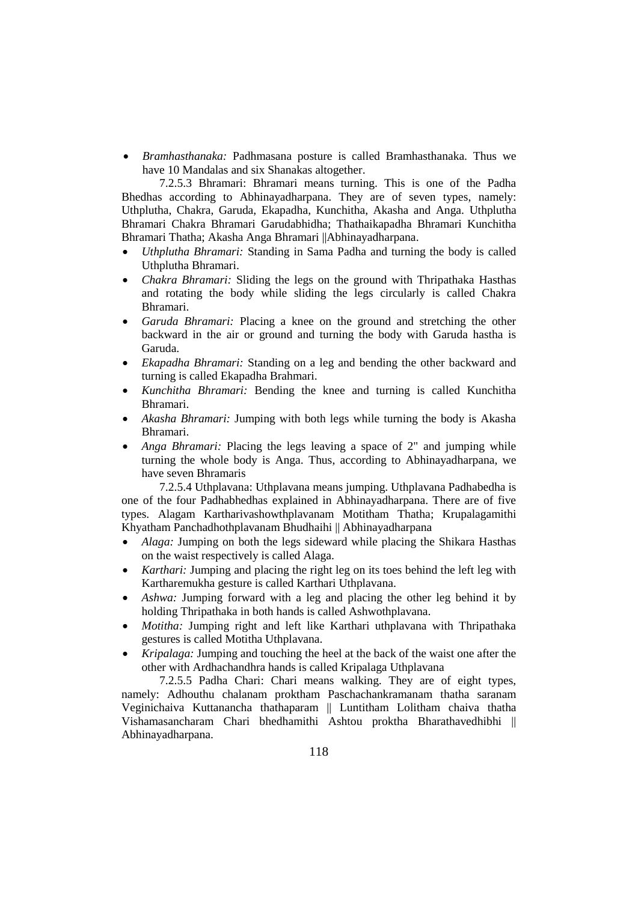*Bramhasthanaka:* Padhmasana posture is called Bramhasthanaka. Thus we have 10 Mandalas and six Shanakas altogether.

7.2.5.3 Bhramari: Bhramari means turning. This is one of the Padha Bhedhas according to Abhinayadharpana. They are of seven types, namely: Uthplutha, Chakra, Garuda, Ekapadha, Kunchitha, Akasha and Anga. Uthplutha Bhramari Chakra Bhramari Garudabhidha; Thathaikapadha Bhramari Kunchitha Bhramari Thatha; Akasha Anga Bhramari ||Abhinayadharpana.

- *Uthplutha Bhramari:* Standing in Sama Padha and turning the body is called Uthplutha Bhramari.
- *Chakra Bhramari:* Sliding the legs on the ground with Thripathaka Hasthas and rotating the body while sliding the legs circularly is called Chakra Bhramari.
- *Garuda Bhramari:* Placing a knee on the ground and stretching the other backward in the air or ground and turning the body with Garuda hastha is Garuda.
- *Ekapadha Bhramari:* Standing on a leg and bending the other backward and turning is called Ekapadha Brahmari.
- *Kunchitha Bhramari:* Bending the knee and turning is called Kunchitha Bhramari.
- *Akasha Bhramari:* Jumping with both legs while turning the body is Akasha Bhramari.
- *Anga Bhramari:* Placing the legs leaving a space of 2" and jumping while turning the whole body is Anga. Thus, according to Abhinayadharpana, we have seven Bhramaris

7.2.5.4 Uthplavana: Uthplavana means jumping. Uthplavana Padhabedha is one of the four Padhabhedhas explained in Abhinayadharpana. There are of five types. Alagam Kartharivashowthplavanam Motitham Thatha; Krupalagamithi Khyatham Panchadhothplavanam Bhudhaihi || Abhinayadharpana

- *Alaga:* Jumping on both the legs sideward while placing the Shikara Hasthas on the waist respectively is called Alaga.
- *Karthari:* Jumping and placing the right leg on its toes behind the left leg with Kartharemukha gesture is called Karthari Uthplavana.
- *Ashwa:* Jumping forward with a leg and placing the other leg behind it by holding Thripathaka in both hands is called Ashwothplavana.
- *Motitha:* Jumping right and left like Karthari uthplavana with Thripathaka gestures is called Motitha Uthplavana.
- *Kripalaga:* Jumping and touching the heel at the back of the waist one after the other with Ardhachandhra hands is called Kripalaga Uthplavana

7.2.5.5 Padha Chari: Chari means walking. They are of eight types, namely: Adhouthu chalanam proktham Paschachankramanam thatha saranam Veginichaiva Kuttanancha thathaparam || Luntitham Lolitham chaiva thatha Vishamasancharam Chari bhedhamithi Ashtou proktha Bharathavedhibhi || Abhinayadharpana.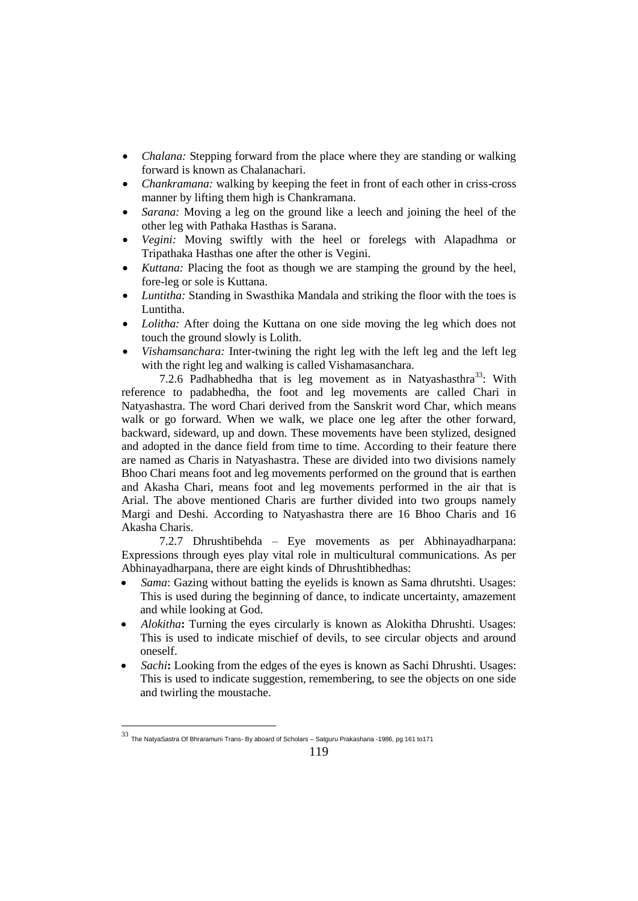- *Chalana:* Stepping forward from the place where they are standing or walking forward is known as Chalanachari.
- *Chankramana:* walking by keeping the feet in front of each other in criss-cross manner by lifting them high is Chankramana.
- *Sarana:* Moving a leg on the ground like a leech and joining the heel of the other leg with Pathaka Hasthas is Sarana.
- *Vegini:* Moving swiftly with the heel or forelegs with Alapadhma or Tripathaka Hasthas one after the other is Vegini.
- *Kuttana:* Placing the foot as though we are stamping the ground by the heel, fore-leg or sole is Kuttana.
- *Luntitha:* Standing in Swasthika Mandala and striking the floor with the toes is Luntitha.
- *Lolitha:* After doing the Kuttana on one side moving the leg which does not touch the ground slowly is Lolith.
- *Vishamsanchara:* Inter-twining the right leg with the left leg and the left leg with the right leg and walking is called Vishamasanchara.

7.2.6 Padhabhedha that is leg movement as in Natyashasthra<sup>33</sup>: With reference to padabhedha, the foot and leg movements are called Chari in Natyashastra. The word Chari derived from the Sanskrit word Char, which means walk or go forward. When we walk, we place one leg after the other forward, backward, sideward, up and down. These movements have been stylized, designed and adopted in the dance field from time to time. According to their feature there are named as Charis in Natyashastra. These are divided into two divisions namely Bhoo Chari means foot and leg movements performed on the ground that is earthen and Akasha Chari, means foot and leg movements performed in the air that is Arial. The above mentioned Charis are further divided into two groups namely Margi and Deshi. According to Natyashastra there are 16 Bhoo Charis and 16 Akasha Charis.

7.2.7 Dhrushtibehda – Eye movements as per Abhinayadharpana: Expressions through eyes play vital role in multicultural communications. As per Abhinayadharpana, there are eight kinds of Dhrushtibhedhas:

- *Sama*: Gazing without batting the eyelids is known as Sama dhrutshti. Usages: This is used during the beginning of dance, to indicate uncertainty, amazement and while looking at God.
- *Alokitha***:** Turning the eyes circularly is known as Alokitha Dhrushti. Usages: This is used to indicate mischief of devils, to see circular objects and around oneself.
- *Sachi***:** Looking from the edges of the eyes is known as Sachi Dhrushti. Usages: This is used to indicate suggestion, remembering, to see the objects on one side and twirling the moustache.

<sup>33</sup> The NatyaSastra Of Bhraramuni Trans- By aboard of Scholars – Satguru Prakashana -1986, pg 161 to171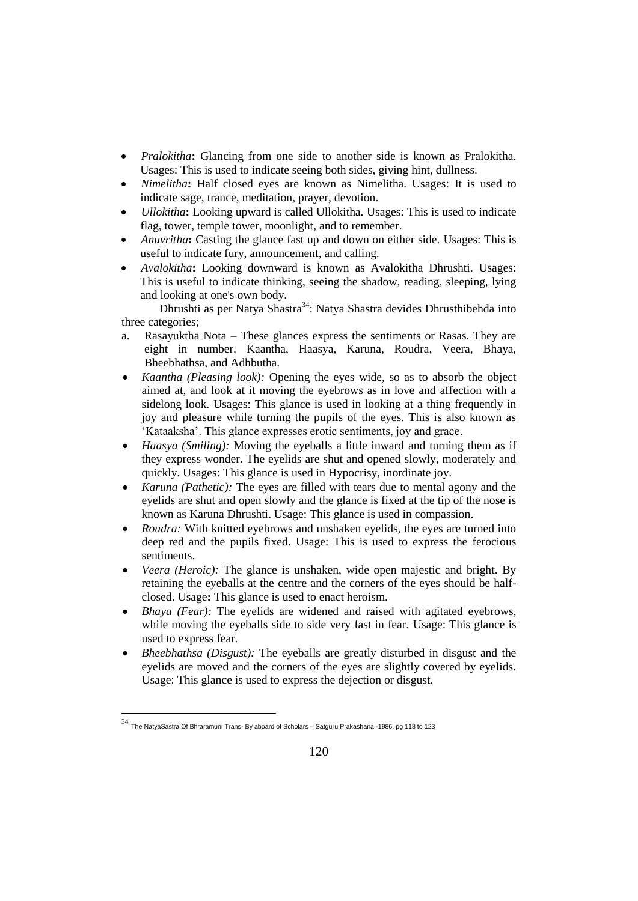- *Pralokitha***:** Glancing from one side to another side is known as Pralokitha. Usages: This is used to indicate seeing both sides, giving hint, dullness.
- *Nimelitha***:** Half closed eyes are known as Nimelitha. Usages: It is used to indicate sage, trance, meditation, prayer, devotion.
- *Ullokitha***:** Looking upward is called Ullokitha. Usages: This is used to indicate flag, tower, temple tower, moonlight, and to remember.
- *Anuvritha***:** Casting the glance fast up and down on either side. Usages: This is useful to indicate fury, announcement, and calling.
- *Avalokitha***:** Looking downward is known as Avalokitha Dhrushti. Usages: This is useful to indicate thinking, seeing the shadow, reading, sleeping, lying and looking at one's own body.

Dhrushti as per Natya Shastra<sup>34</sup>: Natya Shastra devides Dhrusthibehda into three categories;

- a. Rasayuktha Nota These glances express the sentiments or Rasas. They are eight in number. Kaantha, Haasya, Karuna, Roudra, Veera, Bhaya, Bheebhathsa, and Adhbutha.
- *Kaantha (Pleasing look):* Opening the eyes wide, so as to absorb the object aimed at, and look at it moving the eyebrows as in love and affection with a sidelong look. Usages: This glance is used in looking at a thing frequently in joy and pleasure while turning the pupils of the eyes. This is also known as 'Kataaksha'. This glance expresses erotic sentiments, joy and grace.
- *Haasya (Smiling):* Moving the eyeballs a little inward and turning them as if they express wonder. The eyelids are shut and opened slowly, moderately and quickly. Usages: This glance is used in Hypocrisy, inordinate joy.
- *Karuna (Pathetic):* The eyes are filled with tears due to mental agony and the eyelids are shut and open slowly and the glance is fixed at the tip of the nose is known as Karuna Dhrushti. Usage: This glance is used in compassion.
- *Roudra:* With knitted eyebrows and unshaken eyelids, the eyes are turned into deep red and the pupils fixed. Usage: This is used to express the ferocious sentiments.
- *Veera (Heroic):* The glance is unshaken, wide open majestic and bright. By retaining the eyeballs at the centre and the corners of the eyes should be halfclosed. Usage**:** This glance is used to enact heroism.
- *Bhaya (Fear):* The eyelids are widened and raised with agitated eyebrows, while moving the eyeballs side to side very fast in fear. Usage: This glance is used to express fear.
- *Bheebhathsa (Disgust):* The eyeballs are greatly disturbed in disgust and the eyelids are moved and the corners of the eyes are slightly covered by eyelids. Usage: This glance is used to express the dejection or disgust.

<sup>34</sup> The NatyaSastra Of Bhraramuni Trans- By aboard of Scholars – Satguru Prakashana -1986, pg 118 to 123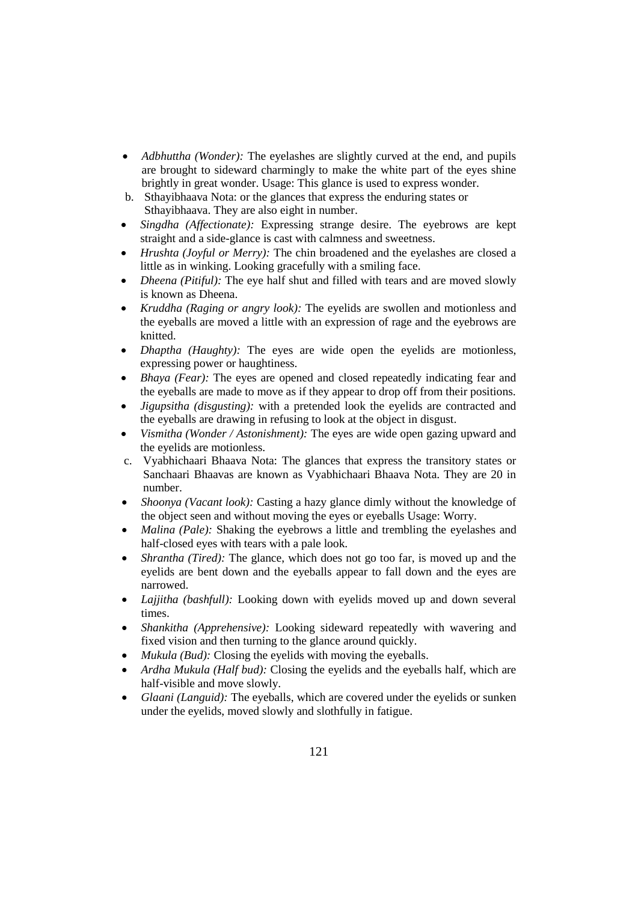- *Adbhuttha (Wonder):* The eyelashes are slightly curved at the end, and pupils are brought to sideward charmingly to make the white part of the eyes shine brightly in great wonder. Usage: This glance is used to express wonder.
- b. Sthayibhaava Nota: or the glances that express the enduring states or Sthayibhaava. They are also eight in number.
- *Singdha (Affectionate):* Expressing strange desire. The eyebrows are kept straight and a side-glance is cast with calmness and sweetness.
- *Hrushta (Joyful or Merry):* The chin broadened and the eyelashes are closed a little as in winking. Looking gracefully with a smiling face.
- *Dheena (Pitiful):* The eye half shut and filled with tears and are moved slowly is known as Dheena.
- *Kruddha (Raging or angry look):* The eyelids are swollen and motionless and the eyeballs are moved a little with an expression of rage and the eyebrows are knitted.
- *Dhaptha (Haughty):* The eyes are wide open the eyelids are motionless, expressing power or haughtiness.
- *Bhaya (Fear)*: The eyes are opened and closed repeatedly indicating fear and the eyeballs are made to move as if they appear to drop off from their positions.
- *Jigupsitha (disgusting):* with a pretended look the eyelids are contracted and the eyeballs are drawing in refusing to look at the object in disgust.
- *Vismitha (Wonder / Astonishment):* The eyes are wide open gazing upward and the eyelids are motionless.
- c. Vyabhichaari Bhaava Nota: The glances that express the transitory states or Sanchaari Bhaavas are known as Vyabhichaari Bhaava Nota. They are 20 in number.
- *Shoonya (Vacant look):* Casting a hazy glance dimly without the knowledge of the object seen and without moving the eyes or eyeballs Usage: Worry.
- *Malina (Pale):* Shaking the eyebrows a little and trembling the eyelashes and half-closed eyes with tears with a pale look.
- *Shrantha (Tired):* The glance, which does not go too far, is moved up and the eyelids are bent down and the eyeballs appear to fall down and the eyes are narrowed.
- *Lajjitha (bashfull):* Looking down with eyelids moved up and down several times.
- *Shankitha (Apprehensive):* Looking sideward repeatedly with wavering and fixed vision and then turning to the glance around quickly.
- *Mukula (Bud):* Closing the eyelids with moving the eyeballs.
- *Ardha Mukula (Half bud):* Closing the eyelids and the eyeballs half, which are half-visible and move slowly.
- *Glaani (Languid):* The eyeballs, which are covered under the eyelids or sunken under the eyelids, moved slowly and slothfully in fatigue.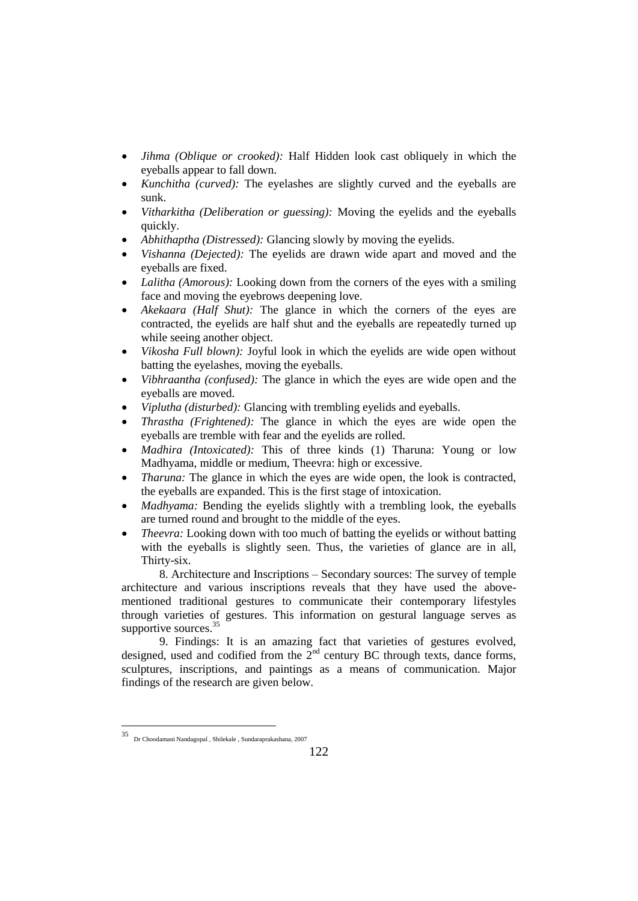- *Jihma (Oblique or crooked):* Half Hidden look cast obliquely in which the eyeballs appear to fall down.
- *Kunchitha (curved):* The eyelashes are slightly curved and the eyeballs are sunk.
- *Vitharkitha (Deliberation or guessing):* Moving the eyelids and the eyeballs quickly.
- *Abhithaptha (Distressed):* Glancing slowly by moving the eyelids.
- *Vishanna (Dejected):* The eyelids are drawn wide apart and moved and the eyeballs are fixed.
- *Lalitha (Amorous):* Looking down from the corners of the eyes with a smiling face and moving the eyebrows deepening love.
- *Akekaara (Half Shut):* The glance in which the corners of the eyes are contracted, the eyelids are half shut and the eyeballs are repeatedly turned up while seeing another object.
- *Vikosha Full blown):* Joyful look in which the eyelids are wide open without batting the eyelashes, moving the eyeballs.
- *Vibhraantha (confused):* The glance in which the eyes are wide open and the eyeballs are moved.
- *Viplutha (disturbed):* Glancing with trembling eyelids and eyeballs.
- *Thrastha (Frightened):* The glance in which the eyes are wide open the eyeballs are tremble with fear and the eyelids are rolled.
- *Madhira (Intoxicated):* This of three kinds (1) Tharuna: Young or low Madhyama, middle or medium, Theevra: high or excessive.
- *Tharuna:* The glance in which the eyes are wide open, the look is contracted, the eyeballs are expanded. This is the first stage of intoxication.
- *Madhyama:* Bending the eyelids slightly with a trembling look, the eyeballs are turned round and brought to the middle of the eyes.
- *Theevra:* Looking down with too much of batting the eyelids or without batting with the eyeballs is slightly seen. Thus, the varieties of glance are in all, Thirty-six.

8. Architecture and Inscriptions – Secondary sources: The survey of temple architecture and various inscriptions reveals that they have used the abovementioned traditional gestures to communicate their contemporary lifestyles through varieties of gestures. This information on gestural language serves as supportive sources.<sup>35</sup>

9. Findings: It is an amazing fact that varieties of gestures evolved, designed, used and codified from the  $2<sup>nd</sup>$  century BC through texts, dance forms, sculptures, inscriptions, and paintings as a means of communication. Major findings of the research are given below.

<sup>35</sup> Dr Choodamani Nandagopal , Shilekale , Sundaraprakashana, 2007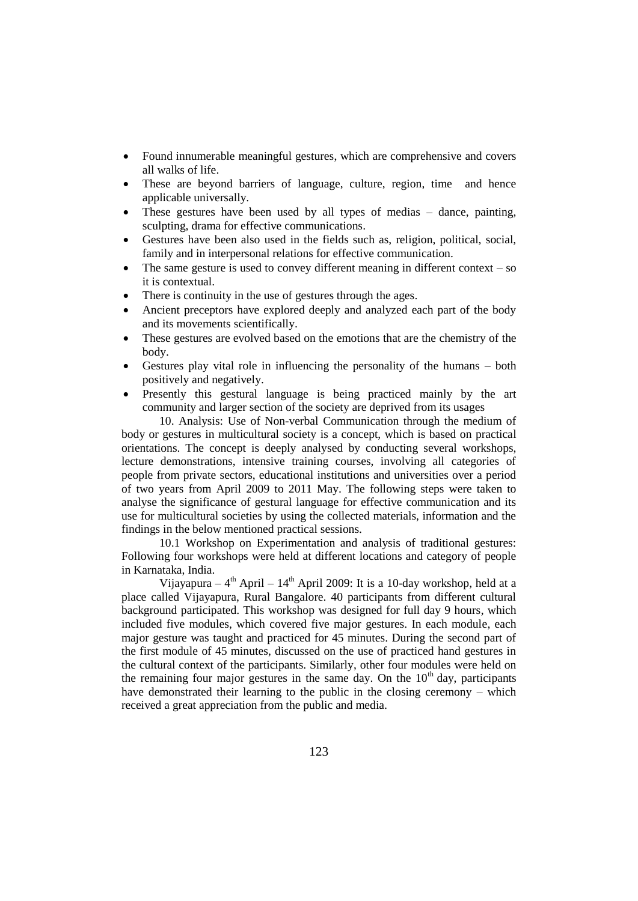- Found innumerable meaningful gestures, which are comprehensive and covers all walks of life.
- These are beyond barriers of language, culture, region, time and hence applicable universally.
- These gestures have been used by all types of medias dance, painting, sculpting, drama for effective communications.
- Gestures have been also used in the fields such as, religion, political, social, family and in interpersonal relations for effective communication.
- The same gesture is used to convey different meaning in different context  $-$  so it is contextual.
- There is continuity in the use of gestures through the ages.
- Ancient preceptors have explored deeply and analyzed each part of the body and its movements scientifically.
- These gestures are evolved based on the emotions that are the chemistry of the body.
- Gestures play vital role in influencing the personality of the humans both positively and negatively.
- Presently this gestural language is being practiced mainly by the art community and larger section of the society are deprived from its usages

10. Analysis: Use of Non-verbal Communication through the medium of body or gestures in multicultural society is a concept, which is based on practical orientations. The concept is deeply analysed by conducting several workshops, lecture demonstrations, intensive training courses, involving all categories of people from private sectors, educational institutions and universities over a period of two years from April 2009 to 2011 May. The following steps were taken to analyse the significance of gestural language for effective communication and its use for multicultural societies by using the collected materials, information and the findings in the below mentioned practical sessions.

10.1 Workshop on Experimentation and analysis of traditional gestures: Following four workshops were held at different locations and category of people in Karnataka, India.

Vijayapura –  $4<sup>th</sup>$  April –  $14<sup>th</sup>$  April 2009: It is a 10-day workshop, held at a place called Vijayapura, Rural Bangalore. 40 participants from different cultural background participated. This workshop was designed for full day 9 hours, which included five modules, which covered five major gestures. In each module, each major gesture was taught and practiced for 45 minutes. During the second part of the first module of 45 minutes, discussed on the use of practiced hand gestures in the cultural context of the participants. Similarly, other four modules were held on the remaining four major gestures in the same day. On the  $10<sup>th</sup>$  day, participants have demonstrated their learning to the public in the closing ceremony – which received a great appreciation from the public and media.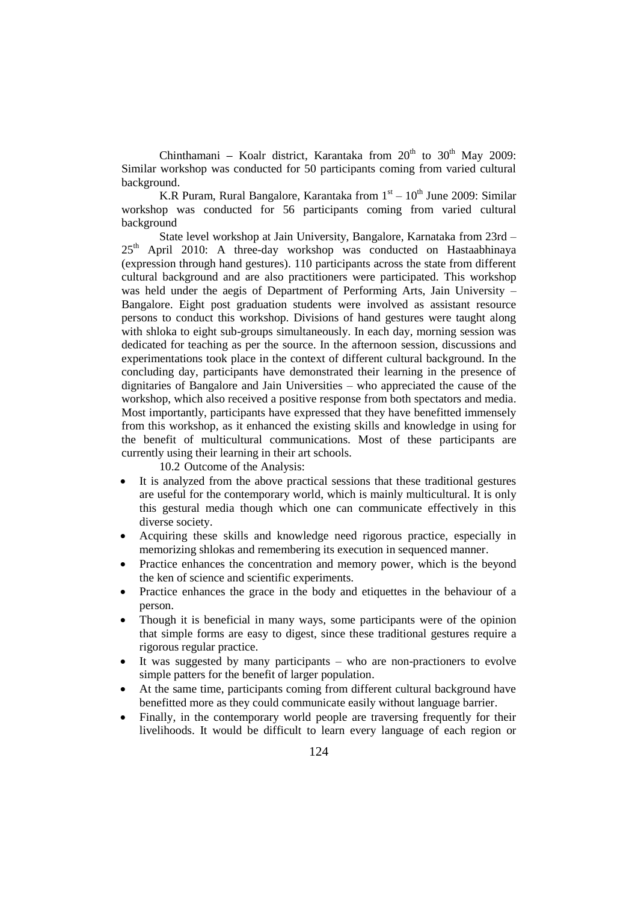Chinthamani – Koalr district, Karantaka from 20<sup>th</sup> to 30<sup>th</sup> May 2009: Similar workshop was conducted for 50 participants coming from varied cultural background.

K.R Puram, Rural Bangalore, Karantaka from  $1<sup>st</sup> - 10<sup>th</sup>$  June 2009: Similar workshop was conducted for 56 participants coming from varied cultural background

State level workshop at Jain University, Bangalore, Karnataka from 23rd – 25<sup>th</sup> April 2010: A three-day workshop was conducted on Hastaabhinaya (expression through hand gestures). 110 participants across the state from different cultural background and are also practitioners were participated. This workshop was held under the aegis of Department of Performing Arts, Jain University – Bangalore. Eight post graduation students were involved as assistant resource persons to conduct this workshop. Divisions of hand gestures were taught along with shloka to eight sub-groups simultaneously. In each day, morning session was dedicated for teaching as per the source. In the afternoon session, discussions and experimentations took place in the context of different cultural background. In the concluding day, participants have demonstrated their learning in the presence of dignitaries of Bangalore and Jain Universities – who appreciated the cause of the workshop, which also received a positive response from both spectators and media. Most importantly, participants have expressed that they have benefitted immensely from this workshop, as it enhanced the existing skills and knowledge in using for the benefit of multicultural communications. Most of these participants are currently using their learning in their art schools.

10.2 Outcome of the Analysis:

- It is analyzed from the above practical sessions that these traditional gestures are useful for the contemporary world, which is mainly multicultural. It is only this gestural media though which one can communicate effectively in this diverse society.
- Acquiring these skills and knowledge need rigorous practice, especially in memorizing shlokas and remembering its execution in sequenced manner.
- Practice enhances the concentration and memory power, which is the beyond the ken of science and scientific experiments.
- Practice enhances the grace in the body and etiquettes in the behaviour of a person.
- Though it is beneficial in many ways, some participants were of the opinion that simple forms are easy to digest, since these traditional gestures require a rigorous regular practice.
- It was suggested by many participants who are non-practioners to evolve simple patters for the benefit of larger population.
- At the same time, participants coming from different cultural background have benefitted more as they could communicate easily without language barrier.
- Finally, in the contemporary world people are traversing frequently for their livelihoods. It would be difficult to learn every language of each region or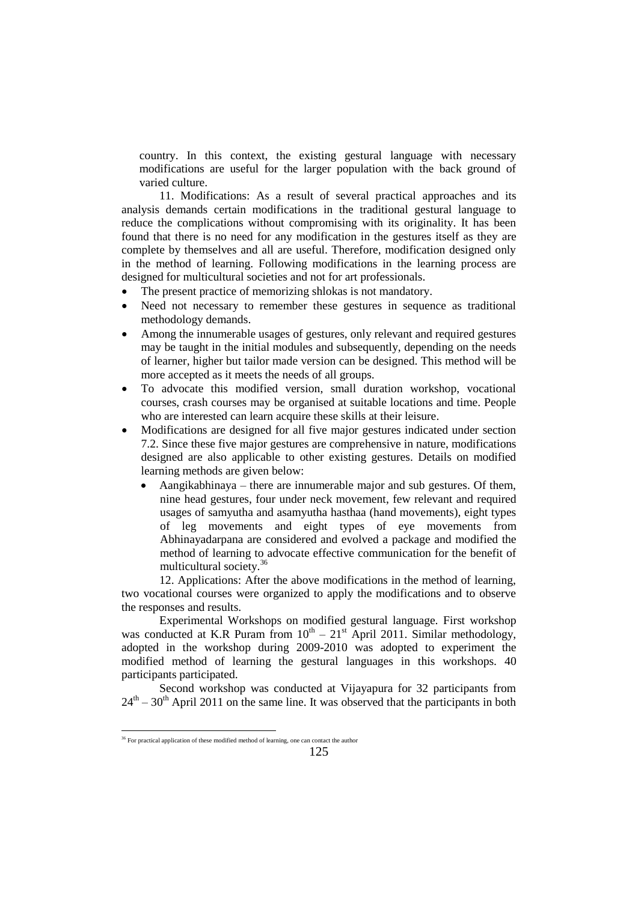country. In this context, the existing gestural language with necessary modifications are useful for the larger population with the back ground of varied culture.

11. Modifications: As a result of several practical approaches and its analysis demands certain modifications in the traditional gestural language to reduce the complications without compromising with its originality. It has been found that there is no need for any modification in the gestures itself as they are complete by themselves and all are useful. Therefore, modification designed only in the method of learning. Following modifications in the learning process are designed for multicultural societies and not for art professionals.

- The present practice of memorizing shlokas is not mandatory.
- Need not necessary to remember these gestures in sequence as traditional methodology demands.
- Among the innumerable usages of gestures, only relevant and required gestures may be taught in the initial modules and subsequently, depending on the needs of learner, higher but tailor made version can be designed. This method will be more accepted as it meets the needs of all groups.
- To advocate this modified version, small duration workshop, vocational courses, crash courses may be organised at suitable locations and time. People who are interested can learn acquire these skills at their leisure.
- Modifications are designed for all five major gestures indicated under section 7.2. Since these five major gestures are comprehensive in nature, modifications designed are also applicable to other existing gestures. Details on modified learning methods are given below:
	- Aangikabhinaya there are innumerable major and sub gestures. Of them, nine head gestures, four under neck movement, few relevant and required usages of samyutha and asamyutha hasthaa (hand movements), eight types of leg movements and eight types of eye movements from Abhinayadarpana are considered and evolved a package and modified the method of learning to advocate effective communication for the benefit of multicultural society.<sup>36</sup>

12. Applications: After the above modifications in the method of learning, two vocational courses were organized to apply the modifications and to observe the responses and results.

Experimental Workshops on modified gestural language. First workshop was conducted at K.R Puram from  $10^{th} - 21^{st}$  April 2011. Similar methodology, adopted in the workshop during 2009-2010 was adopted to experiment the modified method of learning the gestural languages in this workshops. 40 participants participated.

Second workshop was conducted at Vijayapura for 32 participants from  $24<sup>th</sup> - 30<sup>th</sup>$  April 2011 on the same line. It was observed that the participants in both

<sup>&</sup>lt;sup>36</sup> For practical application of these modified method of learning, one can contact the author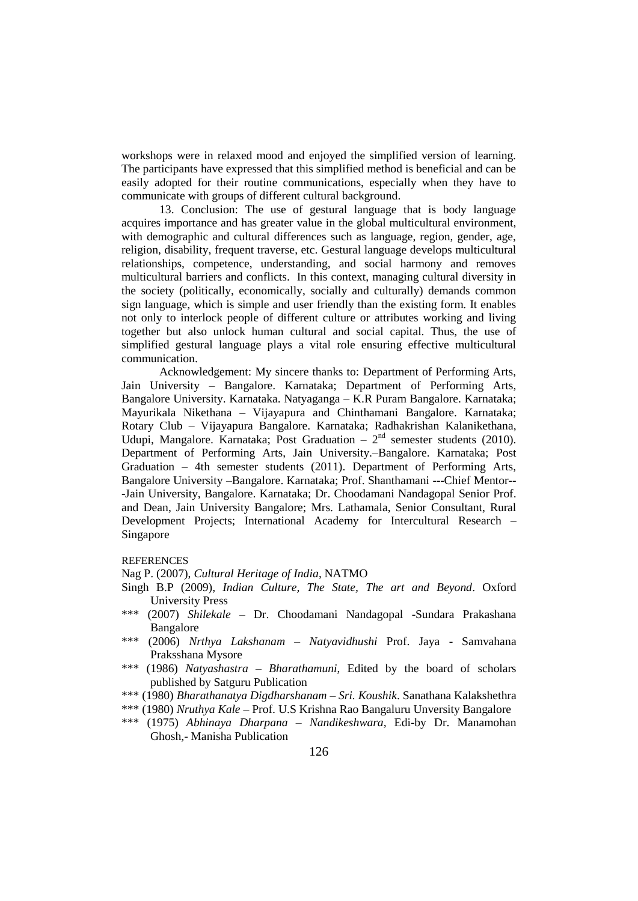workshops were in relaxed mood and enjoyed the simplified version of learning. The participants have expressed that this simplified method is beneficial and can be easily adopted for their routine communications, especially when they have to communicate with groups of different cultural background.

13. Conclusion: The use of gestural language that is body language acquires importance and has greater value in the global multicultural environment, with demographic and cultural differences such as language, region, gender, age, religion, disability, frequent traverse, etc. Gestural language develops multicultural relationships, competence, understanding, and social harmony and removes multicultural barriers and conflicts. In this context, managing cultural diversity in the society (politically, economically, socially and culturally) demands common sign language, which is simple and user friendly than the existing form. It enables not only to interlock people of different culture or attributes working and living together but also unlock human cultural and social capital. Thus, the use of simplified gestural language plays a vital role ensuring effective multicultural communication.

Acknowledgement: My sincere thanks to: Department of Performing Arts, Jain University – Bangalore. Karnataka; Department of Performing Arts, Bangalore University. Karnataka. Natyaganga – K.R Puram Bangalore. Karnataka; Mayurikala Nikethana – Vijayapura and Chinthamani Bangalore. Karnataka; Rotary Club – Vijayapura Bangalore. Karnataka; Radhakrishan Kalanikethana, Udupi, Mangalore. Karnataka; Post Graduation  $-2<sup>nd</sup>$  semester students (2010). Department of Performing Arts, Jain University.–Bangalore. Karnataka; Post Graduation – 4th semester students (2011). Department of Performing Arts, Bangalore University –Bangalore. Karnataka; Prof. Shanthamani ---Chief Mentor-- -Jain University, Bangalore. Karnataka; Dr. Choodamani Nandagopal Senior Prof. and Dean, Jain University Bangalore; Mrs. Lathamala, Senior Consultant, Rural Development Projects; International Academy for Intercultural Research – Singapore

#### **REFERENCES**

Nag P. (2007), *Cultural Heritage of India*, NATMO

- Singh B.P (2009), *Indian Culture, The State, The art and Beyond*. Oxford University Press
- \*\*\* (2007) *Shilekale* Dr. Choodamani Nandagopal -Sundara Prakashana Bangalore
- \*\*\* (2006) *Nrthya Lakshanam – Natyavidhushi* Prof. Jaya Samvahana Praksshana Mysore
- \*\*\* (1986) *Natyashastra – Bharathamuni*, Edited by the board of scholars published by Satguru Publication
- \*\*\* (1980) *Bharathanatya Digdharshanam – Sri. Koushik*. Sanathana Kalakshethra
- \*\*\* (1980) *Nruthya Kale* Prof. U.S Krishna Rao Bangaluru Unversity Bangalore
- \*\*\* (1975) *Abhinaya Dharpana – Nandikeshwara,* Edi-by Dr. Manamohan Ghosh,- Manisha Publication